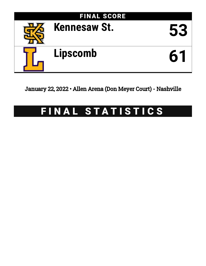

January 22, 2022 • Allen Arena (Don Meyer Court) - Nashville

# FINAL STATISTICS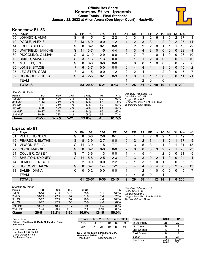# **Official Box Score Kennesaw St. vs Lipscomb Game Totals -- Final Statistics January 22, 2022 at Allen Arena (Don Meyer Court) - Nashville**



# **Kennesaw St. 53**

| No.               | Plaver               | S  | <b>Pts</b> | FG       | 3FG      | FТ       | 0R            | <b>DR</b> | TR | РF            | A        | TO            | Blk          | Stl          | Min            | $+/-$        |
|-------------------|----------------------|----|------------|----------|----------|----------|---------------|-----------|----|---------------|----------|---------------|--------------|--------------|----------------|--------------|
| 00                | JOHNSON, AMANI       | G  | 5          | $1-5$    | $1 - 2$  | $2 - 2$  | 0             | 3         | 3  | 2             | 6        |               |              | 2            | 37             | -8           |
| 10                | POOLE, ALEXIS        | F. | 13         | $6-9$    | $0 - 0$  | $1 - 2$  | 1             | 2         | 3  | 3             |          | $\mathcal{P}$ | $\Omega$     | 2            | 25             | $-14$        |
| 14                | FREE, ASHLEY         | G  | $\Omega$   | $0 - 2$  | $0 - 1$  | $0 - 0$  | 0             | 2         | 2  | 2             | 0        |               |              | 1            | 18             | $-2$         |
| 15                | WHITFIELD, JAH'CHE   | G  | 11         | $3 - 7$  | $1 - 5$  | $4 - 4$  | 1.            | 3         | 4  | 3             | 0        | $\mathbf{0}$  | $\mathbf{0}$ | $\mathbf{0}$ | 32             | $-4$         |
| 30                | PICCOLINO, GILLIAN   | G  | 8          | $3 - 10$ | $2-9$    | $0 - 0$  | 0             |           |    | 1             | 0        |               | $\Omega$     | 0            | 26             | $-10$        |
| $12 \overline{ }$ | <b>BAKER, AMARIS</b> | G  | 3          | $1 - 3$  | $1 - 3$  | $0 - 0$  | 0             |           |    | $\mathcal{P}$ | $\Omega$ | 0             | $\Omega$     | 0            | 18             | $-10$        |
| 13                | MULLINS, JODI        | G  | $\Omega$   | $0 - 0$  | $0 - 0$  | $0 - 0$  | 0             | 0         | 0  |               | 0        | 0             | $\mathbf 0$  | 0            | $\overline{2}$ | $\mathbf{0}$ |
| 20                | JONES, STACIE        | F. | 6          | $3 - 7$  | $0 - 0$  | $0 - 0$  | 0             | 4         | 4  |               |          | 3             | $\mathbf{0}$ | $\mathbf{0}$ | 15             | 2            |
| 25                | LEGISTER, GABI       | F. | 3          | $1 - 5$  | $0 - 0$  | $1 - 2$  | $\mathcal{P}$ | 2         | 4  |               |          | 2             | $\Omega$     | 0            | 17             | 7            |
| 32                | RODRIGUEZ, JULIA     | G  | 4          | $2 - 5$  | 0-1      | $0 - 3$  |               | $\Omega$  |    |               |          | 0             | $\Omega$     | 0            | 11             | $-1$         |
|                   | <b>TEAM</b>          |    |            |          |          |          | 1             | 1         | 2  | $\Omega$      |          | 0             |              |              |                |              |
|                   | <b>TOTALS</b>        |    | 53.        | 20-53    | $5 - 21$ | $8 - 13$ | 6             | 25        | 31 | 17            | 10       | 10            |              |              | 5 200          |              |

| <b>Shooting By Period</b> |           |       |          |       |          |       |
|---------------------------|-----------|-------|----------|-------|----------|-------|
| Period                    | FG        | FG%   | 3FG      | 3FG%  | FT       | FT%   |
| 1st Qtr                   | $6 - 15$  | 40%   | $2 - 3$  | 67%   | $0 - 2$  | 00%   |
| 2nd Qtr                   | $4 - 12$  | 33%   | $2 - 6$  | 33%   | $3 - 4$  | 75%   |
| 3rd Qtr                   | $4 - 11$  | 36%   | $1-6$    | 17%   | $1 - 2$  | 50%   |
| 4th Qtr                   | $6 - 15$  | 40%   | $0-6$    | 00%   | $4 - 5$  | 80%   |
| 1st Half                  | $10 - 27$ | 37%   | $4 - 9$  | 44%   | $3-6$    | 50%   |
| 2nd Half                  | 10-26     | 38%   | $1 - 12$ | 08%   | $5 - 7$  | 71%   |
| Game                      | $20 - 53$ | 37.7% | $5 - 21$ | 23.8% | $8 - 13$ | 61.5% |

*Deadball Rebounds:* 3,0 *Last FG:* 4th-02:47 *Biggest Run:* 6-0 *Largest lead:* By 10 at 2nd-08:51 *Technical Fouls:* None.

# **Lipscomb 61**

|     | <b>TOTALS</b>         |    | 61       | $20 - 51$ | $9 - 30$ | $12 - 15$ | 9             | 29 | 38            | 14       | 12 | 14       |             | 6        | <b>200</b> |                |
|-----|-----------------------|----|----------|-----------|----------|-----------|---------------|----|---------------|----------|----|----------|-------------|----------|------------|----------------|
|     | <b>TEAM</b>           |    |          |           |          |           | 1             | 4  | 5             | 0        |    |          |             |          |            |                |
| 33  | SALEH, DIANA          | С  | 0        | $0 - 2$   | $0-0$    | $0 - 0$   | 1             | 1  | $\mathcal{P}$ | 1        | 0  | $\Omega$ | $\Omega$    | 0        | 5          | $-7$           |
| 23  | HOLCOMB, JALYN        | G  | 8        | $3 - 7$   | $1 - 4$  | $1 - 2$   | 0             | 4  | 4             | $\Omega$ | 4  | $\Omega$ | $\Omega$    | 2        | 28         | 13             |
| 14  | HEMPHILL, NICOLE      | F. | 2        | $0 - 0$   | $0 - 0$  | $2 - 2$   | 2             | 1  | 3             |          | 0  |          | 0           | 0        | 5          | -2             |
| 00  | SHELTON, SYDNEY       | G  | 14       | $5 - 8$   | $2 - 5$  | $2 - 3$   | 0             | 3  | 3             | $\Omega$ | 2  |          | $\Omega$    | $\Omega$ | 24         | 11             |
| 24  | <b>COLLIER, CASEY</b> | G  |          | $3-6$     | 1-3      | $0 - 0$   |               | 4  | 5.            |          |    | 2        | 0           | 0        | 31         | -5             |
| 22  | COOK, MADDIE          | G  | $\Omega$ | $0 - 2$   | $0 - 0$  | $0 - 0$   | $\mathcal{P}$ | 6  | 8             | 3        | 3  | 2        |             |          | 20         | $-3$           |
| 21  | <b>VINSON, BELLA</b>  | G  | 14       | $3-9$     | 1-5      | $7 - 7$   | 2             | 3  | 5             | 3        |    | 4        |             |          | 31         | 13             |
| 15  | PEARSON, BLYTHE       | G  | 8        | $3-9$     | $2 - 7$  | $0 - 0$   | 0             | 2  | 2             | 3        |    |          |             |          | 37         | 9              |
| 01  | PEETE, JORDAN         | G  | 8        | $3 - 8$   | $2-6$    | $0 - 1$   | 0             |    |               | 2        | 0  | 2        |             |          | 19         | $\overline{7}$ |
| No. | Player                | S  | Pts      | FG        | 3FG      | FТ        | 0R            | DR | TR            | PF       | A  | то       | <b>B</b> lk | Stl      | Min        | $+/-$          |

| Game                      | 20-51     | 39.2% | $9 - 30$ | 30.0%  | $12 - 15$ | 80.0% |
|---------------------------|-----------|-------|----------|--------|-----------|-------|
| 2nd Half                  | 7-24      | 29%   | $4 - 13$ | 31%    | $8 - 10$  | 80%   |
| 1st Half                  | $13 - 27$ | 48%   | $5 - 17$ | 29%    | $4 - 5$   | 80%   |
| 4th Qtr                   | $5 - 12$  | 42%   | $2 - 6$  | 33%    | $4-6$     | 67%   |
| 3rd Qtr                   | $2 - 12$  | 17%   | $2 - 7$  | 29%    | $4 - 4$   | 100%  |
| 2nd Qtr                   | $10 - 13$ | 77%   | $5 - 7$  | 71%    | $3 - 4$   | 75%   |
| 1st Qtr                   | $3 - 14$  | 21%   | $0 - 10$ | $00\%$ | $1 - 1$   | 100%  |
| Period                    | FG        | FG%   | 3FG      | 3FG%   | FT        | FT%   |
| <b>Shooting By Period</b> |           |       |          |        |           |       |

*Deadball Rebounds:* 0,0 *Last FG:* 4th-03:15 *Biggest Run:* 9-0 *Largest lead:* By 14 at 4th-05:40 *Technical Fouls:* None.

| Game Notes:                                    | <b>Score</b>                                    |    | 1st 2nd         | 3rd | 4th | <b>TOT</b> | <b>Points</b>     | <b>KSU</b>     | <b>LIP</b>     |
|------------------------------------------------|-------------------------------------------------|----|-----------------|-----|-----|------------|-------------------|----------------|----------------|
| Officials: Tim Hackett, Molly McFadden, Robert | <b>KSU</b>                                      | 14 | 13              | 10  | 16  | 53         | In the Paint      | 26             | 20             |
| Swanigan                                       | LIP                                             |    | 28              | 10  | 16  | 61         | Off Turns         |                | 11             |
| Start Time: 12:01 PM ET                        |                                                 |    |                 |     |     |            | 2nd Chance        | 10             | 11             |
| End Time: 01:57 PM ET<br>Game Duration: 1:56   | KSU led for 13:20. LIP led for 25:14.           |    |                 |     |     |            | <b>Fast Break</b> |                | 17             |
| Conference Game:                               | Game was tied for 1:26.<br>Times tied: <b>1</b> |    | Lead Changes: 1 |     |     |            | Bench             | 16             | 24             |
|                                                |                                                 |    |                 |     |     |            | Per Poss          | 0.869<br>24/61 | 1.000<br>26/61 |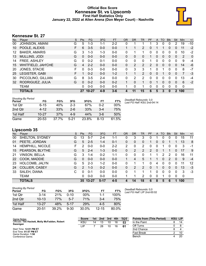## **Official Box Score Kennesaw St. vs Lipscomb First Half Statistics Only January 22, 2022 at Allen Arena (Don Meyer Court) - Nashville**



# **Kennesaw St. 27**

| No. | Plaver                | S  | <b>Pts</b> | <b>FG</b> | 3FG     | <b>FT</b> | <b>OR</b> | <b>DR</b> | <b>TR</b>     | PF       | A | TO       | <b>B</b> lk | Stl         | Min            | $+/-$       |
|-----|-----------------------|----|------------|-----------|---------|-----------|-----------|-----------|---------------|----------|---|----------|-------------|-------------|----------------|-------------|
| 00  | JOHNSON, AMANI        | G  | 5          | $1 - 3$   | 1-1     | $2 - 2$   | 0         | 1         |               |          | 3 | 0        |             | 2           | 19             | $-10$       |
| 10  | POOLE, ALEXIS         | F  | 6          | $3 - 5$   | $0 - 0$ | $0 - 0$   |           |           | 2             | 0        |   |          | 0           | 0           | 11             | $-2$        |
| 12  | <b>BAKER, AMARIS</b>  | G  | 3          | $1 - 3$   | 1-3     | $0 - 0$   | 0         | 1         |               | 0        | 0 | 0        | 0           | 0           | 10             | $-2$        |
| 13  | MULLINS, JODI         | G  | 0          | $0 - 0$   | $0 - 0$ | $0 - 0$   | 0         | 0         | 0             |          | 0 | 0        | 0           | 0           | $\overline{2}$ | $\mathbf 0$ |
| 14  | FREE, ASHLEY          | G  | 0          | $0 - 2$   | $0 - 1$ | $0-0$     | 0         | 0         | 0             |          | 0 | 0        | 0           | 0           | 9              | -4          |
| 15  | WHITFIELD, JAH'CHE    | G  | 4          | $2 - 2$   | $0 - 0$ | $0 - 0$   | 0         | 2         | 2             | 2        | 0 | $\Omega$ | 0           | 0           | 14             | -6          |
| 20  | JONES, STACIE         | F  | $\Omega$   | $0 - 3$   | $0 - 0$ | $0 - 0$   | 0         | 3         | 3             | 1        | 0 | 1        | 0           | 0           | 8              | $-7$        |
| 25  | <b>LEGISTER, GABI</b> | F. |            | $0 - 2$   | $0 - 0$ | $1 - 2$   |           | 1         | $\mathcal{P}$ | $\Omega$ | 0 |          | $\Omega$    | $\Omega$    | 7              | $-3$        |
| 30  | PICCOLINO, GILLIAN    | G  | 8          | $3 - 5$   | $2 - 4$ | $0 - 0$   | 0         | 2         | $\mathcal{P}$ | 0        | 0 | 0        | 0           | 0           | 13             | $-4$        |
| 32  | RODRIGUEZ, JULIA      | G  | $\Omega$   | $0 - 2$   | $0 - 0$ | $0 - 2$   |           | $\Omega$  |               | 0        |   | 0        | $\Omega$    | $\Omega$    | 6              | $-2$        |
|     | <b>TEAM</b>           |    | 0          | $0 - 0$   | $0 - 0$ | $0 - 0$   |           | $\Omega$  |               | 0        | 0 | 0        | $\Omega$    | 0           | $\mathbf 0$    |             |
|     | <b>TOTALS</b>         |    | 27         | $10 - 27$ | $4-9$   | $3 - 6$   | 4         | 11        | 15            | 6        | 5 | 3        | 0           | $\mathbf 2$ | 100            |             |

| Shooting By Period<br>Period | FG        | FG%   | 3FG     | 3FG%  | FТ      | FT%    |
|------------------------------|-----------|-------|---------|-------|---------|--------|
| 1st Otr                      | $6 - 15$  | 40%   | $2-3$   | 67%   | $0 - 2$ | $00\%$ |
| 2nd Qtr                      | $4 - 12$  | 33%   | $2 - 6$ | 33%   | $3 - 4$ | 75%    |
| 1st Half                     | $10 - 27$ | 37%   | $4 - 9$ | 44%   | $3-6$   | 50%    |
| Game                         | $20 - 53$ | 37.7% | $5-21$  | 23.8% | $8-13$  | 61.5%  |

*Deadball Rebounds:* 3,0 *Last FG Half:* KSU 2nd-04:14

# **Lipscomb 35**

| No. | Plaver                  | S. | Pts            | <b>FG</b> | 3FG      | <b>FT</b> | <b>OR</b> | <b>DR</b>    | TR            | PF       | A | TO | <b>Blk</b> | Stl      | Min         | $+/-$ |
|-----|-------------------------|----|----------------|-----------|----------|-----------|-----------|--------------|---------------|----------|---|----|------------|----------|-------------|-------|
| 00  | SHELTON, SYDNEY         | G  | 13             | $5 - 7$   | $2 - 4$  | $1 - 1$   | 0         | 3            | 3             | 0        |   | 0  | 0          | 0        | 15          | 11    |
| 01  | PEETE, JORDAN           | G  | 5.             | $2 - 5$   | $1 - 4$  | $0 - 1$   | 0         | $\mathbf{0}$ | 0             |          | 0 | 0  |            |          | 13          | 8     |
| 14  | <b>HEMPHILL, NICOLE</b> | F  | 2              | $0-0$     | $0-0$    | $2 - 2$   | 2         | $\mathbf{0}$ | 2             |          | 0 |    | 0          | 0        | 3           | -1    |
| 15  | PEARSON, BLYTHE         | G  | 5              | $2 - 4$   | $1 - 3$  | $0 - 0$   | 0         | 2            | 2             | 2        | 0 |    |            | 0        | 17          | 9     |
| 21  | VINSON, BELLA           | G  | 3              | 1-4       | $0 - 2$  | $1 - 1$   | 0         | 0            | 0             |          |   | 2  | 2          | 0        | 16          | 11    |
| 22  | COOK, MADDIE            | G  | 0              | $0 - 0$   | $0 - 0$  | $0 - 0$   |           | 4            | 5             |          |   | 0  | 2          | $\Omega$ | 9           | $-4$  |
| 23  | HOLCOMB, JALYN          | G  | 5              | $2 - 3$   | $1 - 2$  | $0 - 0$   | 0         |              |               | $\Omega$ | 4 | 0  | $\Omega$   | 0        | 11          | 12    |
| 24  | <b>COLLIER, CASEY</b>   | G  | $\overline{2}$ | $1 - 3$   | $0 - 2$  | $0 - 0$   | $\Omega$  | 2            | $\mathcal{P}$ | $\Omega$ |   | 0  | $\Omega$   | $\Omega$ | 13          | $-3$  |
| 33  | SALEH, DIANA            | C  | 0              | $0 - 1$   | $0 - 0$  | $0 - 0$   | 0         |              |               | 1        | 0 | 0  | $\Omega$   | 0        | 3           | -3    |
|     | <b>TEAM</b>             |    | 0              | $0 - 0$   | $0 - 0$  | $0 - 0$   |           |              | 2             | 0        | 0 | 1  | 0          | $\Omega$ | $\mathbf 0$ |       |
|     | <b>TOTALS</b>           |    |                | 35 13-27  | $5 - 17$ | $4 - 5$   |           | 14           | 18            | 6        | 8 | 5  | 6          | 1        | 100         |       |

| Shooting By Period<br>Period | FG        | FG%        | 3FG      | 3FG%       | FТ        | FT%   |
|------------------------------|-----------|------------|----------|------------|-----------|-------|
| 1st Otr                      | $3 - 14$  | 21%        | 0-10     | $00\%$     | 1-1       | 100%  |
| 2nd Otr                      | $10 - 13$ | <b>77%</b> | $5 - 7$  | 71%        | $3-4$     | 75%   |
| 1st Half                     | $13 - 27$ | 48%        | $5-17$   | <b>29%</b> | $4-5$     | 80%   |
| Game                         | $20 - 51$ | 39.2%      | $9 - 30$ | 30.0%      | $12 - 15$ | 80.0% |

*Deadball Rebounds:* 0,0 *Last FG Half:* LIP 2nd-00:02

| Game Notes:                                                | <b>Score</b> | 1st | 2nd | 3rd | 4th | <b>TOT</b> | <b>Points from (This Period)</b> | <b>KSU LIP</b> |    |
|------------------------------------------------------------|--------------|-----|-----|-----|-----|------------|----------------------------------|----------------|----|
| Officials: Tim Hackett, Molly McFadden, Robert<br>Swanigan | <b>KSU</b>   | 14  |     | 10  | 16  | 53         | In the Paint                     |                | 14 |
|                                                            | ∟IP          |     | 28  | 10  | 16  | -61        | Off Turns                        |                |    |
| Start Time: 12:01 PM ET                                    |              |     |     |     |     |            | 2nd Chance                       |                |    |
| End Time: 01:57 PM ET<br>Game Duration: 1:56               |              |     |     |     |     |            | <b>Fast Break</b>                |                | 10 |
| Conference Game;                                           |              |     |     |     |     |            | Bench                            |                | 20 |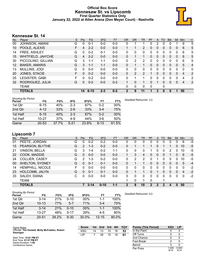## **Official Box Score Kennesaw St. vs Lipscomb First Quarter Statistics Only January 22, 2022 at Allen Arena (Don Meyer Court) - Nashville**



# **Kennesaw St. 14**

| No. | Plaver                | S  | <b>Pts</b> | <b>FG</b> | 3FG     | <b>FT</b> | 0R       | <b>DR</b> | TR             | PF       | A        | TO | <b>B</b> lk | Stl      | Min | $+/-$ |
|-----|-----------------------|----|------------|-----------|---------|-----------|----------|-----------|----------------|----------|----------|----|-------------|----------|-----|-------|
| 00  | <b>JOHNSON, AMANI</b> | G  | 0          | $0 - 1$   | $0 - 0$ | $0 - 0$   | 0        |           |                | 0        | 2        |    | 0           |          | 9   | 5     |
| 10  | POOLE, ALEXIS         | F  | 4          | $2 - 2$   | $0 - 0$ | $0 - 0$   |          |           | $\overline{2}$ | 0        | 0        | 0  | 0           | 0        | 6   | 5     |
| 14  | FREE, ASHLEY          | G  | 0          | $0 - 2$   | $0 - 1$ | $0 - 0$   | 0        | 0         | 0              | $\Omega$ | 0        | 0  | 0           | 0        | 6   | 5     |
| 15  | WHITFIELD, JAH'CHE    | G  | 4          | $2 - 2$   | $0 - 0$ | $0 - 0$   | $\Omega$ | 1         | 1              | $\Omega$ | 0        | 0  | 0           | $\Omega$ | 6   | 5     |
| 30  | PICCOLINO, GILLIAN    | G  | 3          | 1-1       | $1 - 1$ | $0 - 0$   | 0        | 2         | 2              | $\Omega$ | 0        | 0  | 0           | $\Omega$ | 6   | 5     |
| 12  | <b>BAKER, AMARIS</b>  | G  | 3          | $1 - 1$   | $1 - 1$ | $0 - 0$   | 0        |           | 1              | $\Omega$ | $\Omega$ | 0  | 0           | $\Omega$ | 5   | 4     |
| 13  | MULLINS, JODI         | G  | 0          | $0 - 0$   | $0 - 0$ | $0 - 0$   | 0        | $\Omega$  | 0              | $\Omega$ | $\Omega$ | 0  | 0           | 0        | 0   | 0     |
| 20  | JONES, STACIE         | F. | $\Omega$   | $0 - 2$   | $0 - 0$ | $0 - 0$   | $\Omega$ | 2         | 2              |          | 0        | 0  | 0           | $\Omega$ | 4   | 2     |
| 25  | LEGISTER, GABI        | F  | 0          | $0 - 2$   | $0 - 0$ | $0 - 0$   | $\Omega$ | 1         | 1              | 0        | 0        | 0  | 0           | 0        | 4   | 2     |
| 32  | RODRIGUEZ, JULIA      | G  | 0          | $0 - 2$   | $0-0$   | $0 - 2$   | 1        | $\Omega$  | 1              | $\Omega$ |          | 0  | $\Omega$    | $\Omega$ | 4   | 2     |
|     | <b>TEAM</b>           |    |            |           |         |           | 0        | 0         | 0              | 0        |          | 0  |             |          |     |       |
|     | <b>TOTALS</b>         |    | 14         | $6 - 15$  | $2 - 3$ | $0 - 2$   | 2        | 9         | 11             | 1        | 3        | 0  | 0           |          | 50  |       |

| <b>Shooting By Period</b><br>Period | FG        | FG%   | 3FG      | 3FG%  | FT       | FT%   | Deadball Rebounds: 3,0 |
|-------------------------------------|-----------|-------|----------|-------|----------|-------|------------------------|
| 1st Qtr                             | $6 - 15$  | 40%   | $2 - 3$  | 67%   | 0-2      | 00%   |                        |
| 2nd Qtr                             | $4 - 12$  | 33%   | $2 - 6$  | 33%   | $3 - 4$  | 75%   |                        |
| 1st Half                            | $6 - 15$  | 40%   | $2 - 3$  | 67%   | 0-2      | 00%   |                        |
| 1st Half                            | $10 - 27$ | 37%   | $4-9$    | 44%   | $3-6$    | 50%   |                        |
| Game                                | $20 - 53$ | 37.7% | $5 - 21$ | 23.8% | $8 - 13$ | 61.5% |                        |

# **Lipscomb 7**

| No. | Plaver               | S  | <b>Pts</b> | FG.      | 3FG      | <b>FT</b> | <b>OR</b> | <b>DR</b> | <b>TR</b>    | <b>PF</b> | $\mathsf{A}$   | TO       | <b>B</b> lk | Stl          | Min      | $+/-$ |
|-----|----------------------|----|------------|----------|----------|-----------|-----------|-----------|--------------|-----------|----------------|----------|-------------|--------------|----------|-------|
| 01  | PEETE, JORDAN        | G  | 0          | $0 - 2$  | $0 - 2$  | $0 - 0$   | 0         | 0         | 0            | 0         | 0              |          | 0           | 0            | 6        | $-5$  |
| 15  | PEARSON, BLYTHE      | G  | 2          | $1 - 3$  | $0 - 2$  | $0-0$     | 0         |           |              |           | 0              |          |             | 0            | 10       | $-5$  |
| 21  | <b>VINSON, BELLA</b> | G  | 3          | $1 - 4$  | $0 - 2$  | $1 - 1$   | 0         | 0         | 0            |           | 0              | 0        | 2           | 0            | 10       | -5    |
| 22  | COOK, MADDIE         | G  | $\Omega$   | $0 - 0$  | $0 - 0$  | $0 - 0$   |           | 3         | 4            | 0         | $\overline{0}$ | 0        |             | 0            | 6        | $-5$  |
| 24  | COLLIER, CASEY       | G  | 2          | 1-3      | $0 - 2$  | $0-0$     | 0         | 2         | 2            | 0         |                |          | 0           | 0            | 10       | -5    |
| 00  | SHELTON, SYDNEY      | G  | $\Omega$   | $0 - 1$  | $0 - 1$  | $0 - 0$   | 0         |           |              | 0         | $\overline{0}$ | $\Omega$ | 0           | $\mathbf{0}$ | 5        | $-4$  |
| 14  | HEMPHILL, NICOLE     | F. | $\Omega$   | $0 - 0$  | $0 - 0$  | $0-0$     | 0         | 0         | $\mathbf{0}$ | 0         | 0              | 0        | 0           | 0            | $\Omega$ | $-2$  |
| 23  | HOLCOMB, JALYN       | G  | $\Omega$   | $0 - 1$  | $0 - 1$  | $0 - 0$   | $\Omega$  |           |              | 0         |                | $\Omega$ | 0           | $\Omega$     | 4        | $-2$  |
| 33  | SALEH, DIANA         | С  | $\Omega$   | $0 - 0$  | $0-0$    | $0-0$     | 0         | 0         | $\Omega$     | 0         | 0              | 0        | 0           | 0            | $\Omega$ | $-2$  |
|     | <b>TEAM</b>          |    |            |          |          |           |           | 0         | 1            | 0         |                |          |             |              |          |       |
|     | <b>TOTALS</b>        |    |            | $3 - 14$ | $0 - 10$ | $1 - 1$   | 2         | 8         | 10           | 2         | 2              |          | Δ           | $\mathbf{0}$ | 50       |       |

| <b>Shooting By Period</b><br>Period | FG        | FG%   | 3FG      | 3FG%   | FT        | FT%   |
|-------------------------------------|-----------|-------|----------|--------|-----------|-------|
| 1st Qtr                             | $3 - 14$  | 21%   | $0 - 10$ | $00\%$ | 1-1       | 100%  |
| 2nd Qtr                             | $10 - 13$ | 77%   | $5 - 7$  | 71%    | $3 - 4$   | 75%   |
| 1st Half                            | $3 - 14$  | 21%   | $0 - 10$ | 00%    | 1-1       | 100%  |
| 1st Half                            | $13 - 27$ | 48%   | $5 - 17$ | 29%    | $4-5$     | 80%   |
| Game                                | $20 - 51$ | 39.2% | $9 - 30$ | 30.0%  | $12 - 15$ | 80.0% |

| Game Notes:                                                | <b>Score</b> |    | 1st 2nd | 3rd | 4th | <b>TOT</b> | <b>Points (This Period)</b> | <b>KSU</b>   | <b>LIP</b>    |
|------------------------------------------------------------|--------------|----|---------|-----|-----|------------|-----------------------------|--------------|---------------|
| Officials: Tim Hackett, Molly McFadden, Robert<br>Swanigan | <b>KSU</b>   | 14 | 13      | 10  | 16  | 53         | In the Paint                |              |               |
|                                                            | LIP          |    | 28      | 10  | 16  | 61         | Off Turns                   |              |               |
| Start Time: 12:01 PM ET                                    |              |    |         |     |     |            | 2nd Chance                  |              |               |
| End Time: 01:57 PM ET<br>Game Duration: 1:56               |              |    |         |     |     |            | <b>Fast Break</b>           |              |               |
| Conference Game:                                           |              |    |         |     |     |            | Bench                       |              |               |
|                                                            |              |    |         |     |     |            | Per Poss                    | .000<br>6/14 | 0.500<br>4/14 |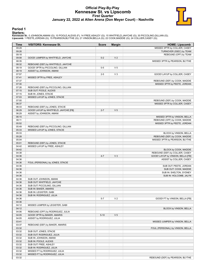## **Official Play-By-Play Kennesaw St. vs Lipscomb First Quarter January 22, 2022 at Allen Arena (Don Meyer Court) - Nashville**



### **Period 1**

<mark>Startersː</mark><br>Kennesaw St.: 0 JOHNSON,AMANI (G); 10 POOLE,ALEXIS (F); 14 FREE,ASHLEY (G); 15 WHITFIELD,JAH'CHE (G); 30 PICCOLINO,GILLIAN (G);<br>Lipscomb: 1 PEETE,JORDAN (G); 15 PEARSON,BLYTHE (G); 21 VINSON,BELLA (G); 22 COOK,

| <b>Time</b> | <b>VISITORS: Kennesaw St.</b>          | <b>Score</b> | <b>Margin</b>  | <b>HOME: Lipscomb</b>             |
|-------------|----------------------------------------|--------------|----------------|-----------------------------------|
| 09:29       |                                        |              |                | MISSED 3PTR by COLLIER, CASEY     |
| 09:26       |                                        |              |                | TURNOVER (5SEC) by TEAM           |
| 09:18       |                                        |              |                | REBOUND (OFF) by TEAM             |
| 09:08       | GOOD! JUMPER by WHITFIELD, JAH'CHE     | $0-2$        | V <sub>2</sub> |                                   |
| 08:35       |                                        |              |                | MISSED 3PTR by PEARSON, BLYTHE    |
| 08:32       | REBOUND (DEF) by WHITFIELD, JAH'CHE    |              |                |                                   |
| 08:19       | GOOD! 3PTR by PICCOLINO, GILLIAN       | $0-5$        | V <sub>5</sub> |                                   |
| 08:19       | ASSIST by JOHNSON, AMANI               |              |                |                                   |
| 07:57       |                                        | $2 - 5$      | $V_3$          | GOOD! LAYUP by COLLIER, CASEY     |
| 07:41       | MISSED 3PTR by FREE, ASHLEY            |              |                |                                   |
| 07:37       |                                        |              |                | REBOUND (DEF) by COOK, MADDIE     |
| 07:30       |                                        |              |                | MISSED 3PTR by PEETE, JORDAN      |
| 07:26       | REBOUND (DEF) by PICCOLINO, GILLIAN    |              |                |                                   |
| 07:15       | SUB OUT: POOLE, ALEXIS                 |              |                |                                   |
| 07:15       | SUB IN: JONES, STACIE                  |              |                |                                   |
| 07:03       | MISSED LAYUP by JONES, STACIE          |              |                |                                   |
| 07:00       |                                        |              |                | REBOUND (DEF) by COOK, MADDIE     |
| 06:37       |                                        |              |                | MISSED 3PTR by COLLIER, CASEY     |
| 06:33       | REBOUND (DEF) by JONES, STACIE         |              |                |                                   |
| 06:29       | GOOD! LAYUP by WHITFIELD, JAH'CHE [FB] | $2 - 7$      | V <sub>5</sub> |                                   |
| 06:29       | ASSIST by JOHNSON, AMANI               |              |                |                                   |
| 06:15       |                                        |              |                | MISSED 3PTR by VINSON, BELLA      |
| 06:11       |                                        |              |                | REBOUND (OFF) by COOK, MADDIE     |
| 05:52       |                                        |              |                | MISSED 3PTR by PEETE, JORDAN      |
| 05:49       | REBOUND (DEF) by PICCOLINO, GILLIAN    |              |                |                                   |
| 05:33       | MISSED LAYUP by JONES, STACIE          |              |                |                                   |
| 05:33       |                                        |              |                | BLOCK by VINSON, BELLA            |
| 05:28       |                                        |              |                | REBOUND (DEF) by COOK, MADDIE     |
| 05:04       |                                        |              |                | MISSED 3PTR by PEARSON, BLYTHE    |
| 05:01       | REBOUND (DEF) by JONES, STACIE         |              |                |                                   |
| 04:42       | MISSED LAYUP by FREE, ASHLEY           |              |                |                                   |
| 04:42       |                                        |              |                | BLOCK by COOK, MADDIE             |
| 04:38       |                                        |              |                | REBOUND (DEF) by COLLIER, CASEY   |
| 04:36       |                                        | $4 - 7$      | V <sub>3</sub> | GOOD! LAYUP by VINSON, BELLA [FB] |
| 04:36       |                                        |              |                | ASSIST by COLLIER, CASEY          |
| 04:36       | FOUL (PERSONAL) by JONES, STACIE       |              |                |                                   |
| 04:36       |                                        |              |                | SUB OUT: PEETE, JORDAN            |
| 04:36       |                                        |              |                | SUB OUT: COOK, MADDIE             |
| 04:36       |                                        |              |                | SUB IN: SHELTON, SYDNEY           |
| 04:36       |                                        |              |                | SUB IN: HOLCOMB, JALYN            |
| 04:36       | SUB OUT: JOHNSON, AMANI                |              |                |                                   |
| 04:36       | SUB OUT: WHITFIELD, JAH'CHE            |              |                |                                   |
| 04:36       | SUB OUT: PICCOLINO, GILLIAN            |              |                |                                   |
| 04:36       | SUB IN: BAKER, AMARIS                  |              |                |                                   |
| 04:36       | SUB IN: LEGISTER, GABI                 |              |                |                                   |
| 04:36       | SUB IN: RODRIGUEZ, JULIA               |              |                |                                   |
| 04:36       |                                        | $5 - 7$      | V <sub>2</sub> | GOOD! FT by VINSON, BELLA [FB]    |
| 04:36       |                                        |              |                |                                   |
| 04:12       | MISSED JUMPER by LEGISTER, GABI        |              |                |                                   |
| 04:12       |                                        |              |                | BLOCK by VINSON, BELLA            |
| 04:06       | REBOUND (OFF) by RODRIGUEZ, JULIA      |              |                |                                   |
| 04:05       | GOOD! 3PTR by BAKER, AMARIS            | $5 - 10$     | V <sub>5</sub> |                                   |
| 04:05       | ASSIST by RODRIGUEZ, JULIA             |              |                |                                   |
| 03:41       |                                        |              |                | MISSED JUMPER by VINSON, BELLA    |
| 03:37       | REBOUND (DEF) by BAKER, AMARIS         |              |                |                                   |
| 03:32       |                                        |              |                | FOUL (PERSONAL) by VINSON, BELLA  |
| 03:32       | SUB OUT: JONES, STACIE                 |              |                |                                   |
| 03:32       | SUB OUT: RODRIGUEZ, JULIA              |              |                |                                   |
| 03:32       | SUB IN: JOHNSON, AMANI                 |              |                |                                   |
| 03:32       | SUB IN: POOLE, ALEXIS                  |              |                |                                   |
| 03:32       | SUB OUT: FREE, ASHLEY                  |              |                |                                   |
| 03:32       | SUB IN: RODRIGUEZ, JULIA               |              |                |                                   |
| 03:32       | MISSED FT by RODRIGUEZ, JULIA          |              |                |                                   |
| 03:32       | MISSED FT by RODRIGUEZ, JULIA          |              |                |                                   |
| 03:32       |                                        |              |                | REBOUND (DEF) by PEARSON, BLYTHE  |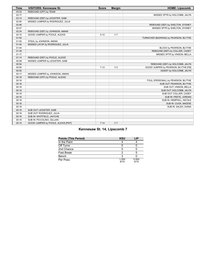| <b>Time</b> | <b>VISITORS: Kennesaw St.</b>       | <b>Score</b> | <b>Margin</b>  | <b>HOME: Lipscomb</b>                 |
|-------------|-------------------------------------|--------------|----------------|---------------------------------------|
| 03:32       | REBOUND (OFF) by TEAM               |              |                |                                       |
| 03:17       |                                     |              |                | MISSED 3PTR by HOLCOMB, JALYN         |
| 03:14       | REBOUND (DEF) by LEGISTER, GABI     |              |                |                                       |
| 02:50       | MISSED JUMPER by RODRIGUEZ, JULIA   |              |                |                                       |
| 02:46       |                                     |              |                | REBOUND (DEF) by SHELTON, SYDNEY      |
| 02:27       |                                     |              |                | MISSED 3PTR by SHELTON, SYDNEY        |
| 02:24       | REBOUND (DEF) by JOHNSON, AMANI     |              |                |                                       |
| 02:10       | GOOD! JUMPER by POOLE, ALEXIS       | $5 - 12$     | V <sub>7</sub> |                                       |
| 01:50       |                                     |              |                | TURNOVER (BADPASS) by PEARSON, BLYTHE |
| 01:50       | STEAL by JOHNSON, AMANI             |              |                |                                       |
| 01:44       | MISSED LAYUP by RODRIGUEZ, JULIA    |              |                |                                       |
| 01:44       |                                     |              |                | BLOCK by PEARSON, BLYTHE              |
| 01:39       |                                     |              |                | REBOUND (DEF) by COLLIER, CASEY       |
| 01:17       |                                     |              |                | MISSED 3PTR by VINSON, BELLA          |
| 01:14       | REBOUND (DEF) by POOLE, ALEXIS      |              |                |                                       |
| 00:58       | MISSED JUMPER by LEGISTER, GABI     |              |                |                                       |
| 00:54       |                                     |              |                | REBOUND (DEF) by HOLCOMB, JALYN       |
| 00:50       |                                     | $7 - 12$     | V <sub>5</sub> | GOOD! JUMPER by PEARSON, BLYTHE [FB]  |
| 00:50       |                                     |              |                | ASSIST by HOLCOMB, JALYN              |
| 00:17       | MISSED JUMPER by JOHNSON, AMANI     |              |                |                                       |
| 00:16       | REBOUND (OFF) by POOLE, ALEXIS      |              |                |                                       |
| 00:16       |                                     |              |                | FOUL (PERSONAL) by PEARSON, BLYTHE    |
| 00:16       |                                     |              |                | SUB OUT: PEARSON, BLYTHE              |
| 00:16       |                                     |              |                | SUB OUT: VINSON, BELLA                |
| 00:16       |                                     |              |                | SUB OUT: HOLCOMB, JALYN               |
| 00:16       |                                     |              |                | SUB OUT: COLLIER, CASEY               |
| 00:16       |                                     |              |                | SUB IN: PEETE, JORDAN                 |
| 00:16       |                                     |              |                | SUB IN: HEMPHILL, NICOLE              |
| 00:16       |                                     |              |                | SUB IN: COOK, MADDIE                  |
| 00:16       |                                     |              |                | SUB IN: SALEH, DIANA                  |
| 00:16       | SUB OUT: LEGISTER, GABI             |              |                |                                       |
| 00:16       | SUB OUT: RODRIGUEZ, JULIA           |              |                |                                       |
| 00:16       | SUB IN: WHITFIELD, JAH'CHE          |              |                |                                       |
| 00:16       | SUB IN: PICCOLINO, GILLIAN          |              |                |                                       |
| 00:10       | GOOD! JUMPER by POOLE, ALEXIS [PNT] | $7 - 14$     | V <sub>7</sub> |                                       |

# **Kennesaw St. 14, Lipscomb 7**

| <b>Points (This Period)</b> | <b>KSU</b>    | LIP           |
|-----------------------------|---------------|---------------|
| In the Paint                |               |               |
| Off Turns                   |               |               |
| 2nd Chance                  |               |               |
| <b>Fast Break</b>           |               |               |
| Bench                       |               |               |
| Per Poss                    | 1.000<br>6/14 | 0.500<br>4/14 |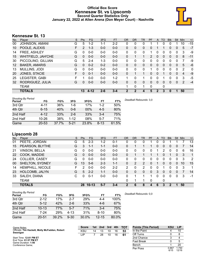## **Official Box Score Kennesaw St. vs Lipscomb Second Quarter Statistics Only January 22, 2022 at Allen Arena (Don Meyer Court) - Nashville**



# **Kennesaw St. 13**

| No. | Player               | S  | <b>Pts</b>     | FG       | 3FG     | <b>FT</b> | <b>OR</b>    | <b>DR</b>      | TR | <b>PF</b> | A           | TO       | <b>Blk</b> | Stl          | Min | $+/-$ |
|-----|----------------------|----|----------------|----------|---------|-----------|--------------|----------------|----|-----------|-------------|----------|------------|--------------|-----|-------|
| 00  | JOHNSON, AMANI       | G  | 5              | $1 - 2$  | 1-1     | 2-2       | 0            | 0              | 0  |           |             | 0        | 0          |              | 10  | $-15$ |
| 10  | POOLE, ALEXIS        | F  | $\overline{2}$ | $1 - 3$  | $0 - 0$ | $0 - 0$   | $\Omega$     | 0              | 0  | 0         |             |          | 0          | 0            | 5   | $-7$  |
| 14  | <b>FREE, ASHLEY</b>  | G  | 0              | 0-0      | $0 - 0$ | $0 - 0$   | 0            | 0              | 0  |           | o           | 0        | 0          | 0            | 3   | -9    |
| 15  | WHITFIELD, JAH'CHE   | G  | 0              | $0 - 0$  | $0 - 0$ | $0 - 0$   | $\Omega$     | 1              |    | 2         | 0           | 0        | 0          | $\Omega$     | 8   | $-11$ |
| 30  | PICCOLINO, GILLIAN   | G  | 5              | $2 - 4$  | $1 - 3$ | $0 - 0$   | 0            | $\Omega$       | 0  | $\Omega$  | 0           | 0        | 0          | $\Omega$     | 7   | -9    |
| 12  | <b>BAKER, AMARIS</b> | G  | $\Omega$       | $0 - 2$  | $0 - 2$ | $0 - 0$   | $\Omega$     | $\Omega$       | 0  | 0         | $\Omega$    | $\Omega$ | 0          | $\Omega$     | 5   | $-6$  |
| 13  | MULLINS, JODI        | G  | 0              | $0 - 0$  | $0 - 0$ | $0 - 0$   | 0            | $\Omega$       | 0  |           | 0           | $\Omega$ | 0          | $\Omega$     | 2   | 0     |
| 20  | JONES, STACIE        | F. | $\Omega$       | $0 - 1$  | $0 - 0$ | $0 - 0$   | 0            |                |    | 0         | 0           |          | 0          | $\Omega$     | 4   | -9    |
| 25  | LEGISTER, GABI       | F  |                | 0-0      | $0 - 0$ | $1 - 2$   |              | 0              | 1  | 0         | 0           |          | 0          | 0            | 3   | $-5$  |
| 32  | RODRIGUEZ, JULIA     | G  | 0              | $0 - 0$  | $0 - 0$ | $0 - 0$   | $\Omega$     | $\Omega$       | 0  | $\Omega$  | 0           | 0        | 0          | $\mathbf{0}$ | 2   | $-4$  |
|     | <b>TEAM</b>          |    |                |          |         |           | 1            | 0              | 1  | 0         |             | 0        |            |              |     |       |
|     | <b>TOTALS</b>        |    | 13             | $4 - 12$ | 2-6     | $3 - 4$   | $\mathbf{2}$ | $\mathfrak{p}$ | 4  | 5         | $\mathbf 2$ | 3        | 0          |              | 50  |       |

| <b>Shooting By Period</b><br>Period | FG        | FG%   | 3FG      | 3FG%  | FТ       | FT%   | Deadball Rebounds: 3,0 |
|-------------------------------------|-----------|-------|----------|-------|----------|-------|------------------------|
| 3rd Qtr                             | 4-11      | 36%   | 1-6      | 17%   | 1-2      | 50%   |                        |
| 4th Qtr                             | $6 - 15$  | 40%   | $0 - 6$  | 00%   | $4-5$    | 80%   |                        |
| 2nd Half                            | $4 - 12$  | 33%   | $2-6$    | 33%   | 3-4      | 75%   |                        |
| 2nd Half                            | $10 - 26$ | 38%   | $1 - 12$ | 08%   | $5 - 7$  | 71%   |                        |
| Game                                | $20 - 53$ | 37.7% | $5 - 21$ | 23.8% | $8 - 13$ | 61.5% |                        |

# **Lipscomb 28**

| No. | Plaver               | S  | <b>Pts</b>   | <b>FG</b> | 3FG     | <b>FT</b> | <b>OR</b> | <b>DR</b> | TR       | PF | A | TO       | <b>Blk</b> | Stl      | Min | $+/-$        |
|-----|----------------------|----|--------------|-----------|---------|-----------|-----------|-----------|----------|----|---|----------|------------|----------|-----|--------------|
| 01  | PEETE, JORDAN        | G  | 5            | $2 - 3$   | $1 - 2$ | $0 - 1$   | 0         | 0         | 0        |    | 0 | 0        |            |          |     | 13           |
| 15  | PEARSON, BLYTHE      | G  | 3            | $1 - 1$   | $1 - 1$ | $0 - 0$   | 0         |           |          |    | 0 | $\Omega$ | 0          | 0        |     | 14           |
| 21  | <b>VINSON, BELLA</b> | G  | 0            | $0-0$     | $0-0$   | $0-0$     | 0         | 0         | 0        | 0  |   | 2        | 0          | 0        | 6   | 16           |
| 22  | COOK, MADDIE         | G  | 0            | $0 - 0$   | $0 - 0$ | $0 - 0$   | 0         |           |          |    |   | 0        |            | $\Omega$ | 3   | $\mathbf{1}$ |
| 24  | COLLIER, CASEY       | G  | 0            | $0-0$     | $0 - 0$ | $0-0$     | 0         | 0         | 0        | 0  | 0 | 0        | 0          | 0        | 3   | 2            |
| 00  | SHELTON, SYDNEY      | G  | 13           | $5-6$     | $2 - 3$ | $1 - 1$   | 0         | 2         | 2        | 0  |   | $\Omega$ | 0          | $\Omega$ | 10  | 15           |
| 14  | HEMPHILL, NICOLE     | F. | 2            | $0 - 0$   | $0 - 0$ | $2 - 2$   | 2         | 0         | 2        | 0  | 0 |          | 0          | $\Omega$ | 3   | 1            |
| 23  | HOLCOMB, JALYN       | G  | 5            | $2 - 2$   | $1 - 1$ | $0 - 0$   | 0         | 0         | $\Omega$ | 0  | 3 | $\Omega$ | 0          | $\Omega$ |     | 14           |
| 33  | SALEH, DIANA         | C  | <sup>0</sup> | $0 - 1$   | $0 - 0$ | $0-0$     | 0         |           | 1        | 1  | 0 | $\Omega$ | 0          | $\Omega$ | 3   | -1           |
|     | <b>TEAM</b>          |    |              |           |         |           | 0         | 1         | 1        | 0  |   | 0        |            |          |     |              |
|     | <b>TOTALS</b>        |    | 28           | $10 - 13$ | $5 - 7$ | $3 - 4$   | 2         | 6         | 8        |    | 6 | 3        | 2          |          | 50  |              |

| <b>Shooting By Period</b><br>Period | FG        | FG%   | 3FG      | 3FG%       | FT        | FT%   | Deadball Rebounds: 0.0 |
|-------------------------------------|-----------|-------|----------|------------|-----------|-------|------------------------|
| 3rd Qtr                             | $2 - 12$  | 17%   | $2 - 7$  | <b>29%</b> | $4 - 4$   | 100%  |                        |
| 4th Qtr                             | $5 - 12$  | 42%   | $2-6$    | 33%        | $4-6$     | 67%   |                        |
| 2nd Half                            | $10 - 13$ | 77%   | $5 - 7$  | 71%        | $3 - 4$   | 75%   |                        |
| 2nd Half                            | 7-24      | 29%   | $4 - 13$ | 31%        | $8 - 10$  | 80%   |                        |
| Game                                | $20 - 51$ | 39.2% | $9 - 30$ | 30.0%      | $12 - 15$ | 80.0% |                        |

| Game Notes:                                                | <b>Score</b> | 1st l | 2nd | 3rd | 4th | <b>TOT</b> | <b>Points (This Period)</b> | <b>KSU</b>    | <b>LIP</b>     |
|------------------------------------------------------------|--------------|-------|-----|-----|-----|------------|-----------------------------|---------------|----------------|
| Officials: Tim Hackett, Molly McFadden, Robert<br>Swanigan | <b>KSU</b>   | 14    | 13  | 10  | 16  | 53         | In the Paint                |               | 10             |
|                                                            | LIP          |       | 28  | 10  | 16  | 61         | Off Turns                   |               |                |
| Start Time: 12:01 PM ET                                    |              |       |     |     |     |            | 2nd Chance                  |               |                |
| End Time: 01:57 PM ET<br>Game Duration: 1:56               |              |       |     |     |     |            | <b>Fast Break</b>           |               |                |
| Conference Game:                                           |              |       |     |     |     |            | Bench                       |               | 20             |
|                                                            |              |       |     |     |     |            | Per Poss                    | 0.867<br>6/15 | 1.750<br>12/16 |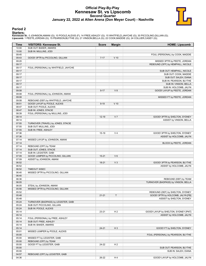## **Official Play-By-Play Kennesaw St. vs Lipscomb Second Quarter January 22, 2022 at Allen Arena (Don Meyer Court) - Nashville**



### **Period 2**

### **Starters:**

**Kennesaw St.**: 0 JOHNSON,AMANI (G); 10 POOLE,ALEXIS (F); 14 FREE,ASHLEY (G); 15 WHITFIELD,JAH'CHE (G); 30 PICCOLINO,GILLIAN (G);<br>**Lipscomb**: 1 PEETE,JORDAN (G); 15 PEARSON,BLYTHE (G); 21 VINSON,BELLA (G); 22 COOK,MADDIE (

| Time  | <b>VISITORS: Kennesaw St.</b>         | <b>Score</b> | <b>Margin</b>  | <b>HOME: Lipscomb</b>                |
|-------|---------------------------------------|--------------|----------------|--------------------------------------|
| 10:00 | SUB OUT: BAKER, AMARIS                |              |                |                                      |
| 10:00 | SUB IN: MULLINS, JODI                 |              |                |                                      |
| 09:45 |                                       |              |                | FOUL (PERSONAL) by COOK, MADDIE      |
| 09:43 | GOOD! 3PTR by PICCOLINO, GILLIAN      | $7 - 17$     | $V$ 10         |                                      |
| 09:20 |                                       |              |                | MISSED 3PTR by PEETE, JORDAN         |
| 09:17 |                                       |              |                | REBOUND (OFF) by HEMPHILL, NICOLE    |
| 09:17 | FOUL (PERSONAL) by WHITFIELD, JAH'CHE |              |                |                                      |
| 09:17 |                                       |              |                | SUB OUT: HEMPHILL, NICOLE            |
| 09:17 |                                       |              |                | SUB OUT: COOK, MADDIE                |
| 09:17 |                                       |              |                | SUB OUT: SALEH, DIANA                |
| 09:17 |                                       |              |                | SUB IN: PEARSON, BLYTHE              |
| 09:17 |                                       |              |                | SUB IN: VINSON, BELLA                |
| 09:17 |                                       |              |                | SUB IN: HOLCOMB, JALYN               |
| 09:08 |                                       | $9 - 17$     | V8             | GOOD! LAYUP by PEETE, JORDAN         |
| 09:08 | FOUL (PERSONAL) by JOHNSON, AMANI     |              |                |                                      |
| 09:08 |                                       |              |                | MISSED FT by PEETE, JORDAN           |
| 09:08 | REBOUND (DEF) by WHITFIELD, JAH'CHE   |              |                |                                      |
| 08:51 | GOOD! LAYUP by POOLE, ALEXIS          | $9 - 19$     | $V$ 10         |                                      |
| 08:47 | SUB OUT: POOLE, ALEXIS                |              |                |                                      |
| 08:47 | SUB IN: JONES, STACIE                 |              |                |                                      |
| 08:39 | FOUL (PERSONAL) by MULLINS, JODI      |              |                |                                      |
| 08:14 |                                       | $12 - 19$    | V <sub>7</sub> | GOOD! 3PTR by SHELTON, SYDNEY        |
| 08:14 |                                       |              |                | ASSIST by VINSON, BELLA              |
| 07:55 | TURNOVER (TRAVEL) by JONES, STACIE    |              |                |                                      |
| 07:55 | SUB OUT: MULLINS, JODI                |              |                |                                      |
| 07:55 | SUB IN: FREE, ASHLEY                  |              |                |                                      |
| 07:36 |                                       | 15-19        | V <sub>4</sub> | GOOD! 3PTR by SHELTON, SYDNEY        |
| 07:36 |                                       |              |                | ASSIST by HOLCOMB, JALYN             |
| 07:14 | MISSED LAYUP by JOHNSON, AMANI        |              |                |                                      |
| 07:14 |                                       |              |                | BLOCK by PEETE, JORDAN               |
| 07:14 | REBOUND (OFF) by TEAM                 |              |                |                                      |
| 07:14 | SUB OUT: JONES, STACIE                |              |                |                                      |
| 07:14 | SUB IN: LEGISTER, GABI                |              |                |                                      |
| 07:09 | GOOD! JUMPER by PICCOLINO, GILLIAN    | $15 - 21$    | $V_6$          |                                      |
| 07:09 | ASSIST by JOHNSON, AMANI              |              |                |                                      |
| 06:52 |                                       | $18 - 21$    | $V_3$          | GOOD! 3PTR by PEARSON, BLYTHE        |
| 06:52 |                                       |              |                | ASSIST by HOLCOMB, JALYN             |
| 06:52 | TIMEOUT 30SEC                         |              |                |                                      |
| 06:40 | MISSED 3PTR by PICCOLINO, GILLIAN     |              |                |                                      |
| 06:40 |                                       |              |                |                                      |
| 06:36 |                                       |              |                | REBOUND (DEF) by TEAM                |
| 06:05 |                                       |              |                | TURNOVER (BADPASS) by VINSON, BELLA  |
| 06:05 | STEAL by JOHNSON, AMANI               |              |                |                                      |
| 05:56 | MISSED 3PTR by PICCOLINO, GILLIAN     |              |                |                                      |
| 05:52 |                                       |              |                | REBOUND (DEF) by SHELTON, SYDNEY     |
| 05:48 |                                       | $21 - 21$    | T              | GOOD! 3PTR by HOLCOMB, JALYN [FB]    |
| 05:48 |                                       |              |                | ASSIST by SHELTON, SYDNEY            |
| 05:24 | TURNOVER (BADPASS) by LEGISTER, GABI  |              |                |                                      |
| 05:24 | SUB OUT: PICCOLINO, GILLIAN           |              |                |                                      |
| 05:24 | SUB IN: POOLE, ALEXIS                 |              |                |                                      |
| 05:14 |                                       | 23-21        | H <sub>2</sub> | GOOD! LAYUP by SHELTON, SYDNEY [PNT] |
| 05:14 |                                       |              |                | ASSIST by HOLCOMB, JALYN             |
| 05:14 | FOUL (PERSONAL) by FREE, ASHLEY       |              |                |                                      |
| 05:14 | SUB OUT: FREE, ASHLEY                 |              |                |                                      |
| 05:14 | SUB IN: BAKER, AMARIS                 |              |                |                                      |
| 05:14 |                                       | $24 - 21$    | $H_3$          | GOOD! FT by SHELTON, SYDNEY          |
| 05:01 | MISSED JUMPER by POOLE, ALEXIS        |              |                |                                      |
| 05:00 |                                       |              |                | FOUL (PERSONAL) by PEARSON, BLYTHE   |
| 05:00 | MISSED FT by LEGISTER, GABI           |              |                |                                      |
| 05:00 | REBOUND (OFF) by TEAM                 |              |                |                                      |
| 05:00 | GOOD! FT by LEGISTER, GABI            | 24-22        | H <sub>2</sub> |                                      |
| 05:00 |                                       |              |                | SUB OUT: PEARSON, BLYTHE             |
| 05:00 |                                       |              |                | SUB IN: SALEH, DIANA                 |
| 04:57 | REBOUND (OFF) by LEGISTER, GABI       |              |                |                                      |
| 04:36 |                                       | 26-22        | H4             | GOOD! LAYUP by HOLCOMB, JALYN        |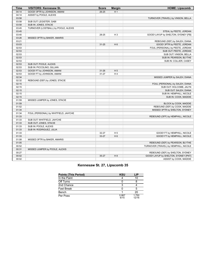| <b>Time</b> | <b>VISITORS: Kennesaw St.</b>         | <b>Score</b> | <b>Margin</b>  | <b>HOME: Lipscomb</b>                 |
|-------------|---------------------------------------|--------------|----------------|---------------------------------------|
| 04:14       | GOOD! 3PTR by JOHNSON, AMANI          | $26 - 25$    | H <sub>1</sub> |                                       |
| 04:14       | ASSIST by POOLE, ALEXIS               |              |                |                                       |
| 03:58       |                                       |              |                | TURNOVER (TRAVEL) by VINSON, BELLA    |
| 03:58       | SUB OUT: LEGISTER, GABI               |              |                |                                       |
| 03:58       | SUB IN: JONES, STACIE                 |              |                |                                       |
| 03:45       | TURNOVER (LOSTBALL) by POOLE, ALEXIS  |              |                |                                       |
| 03:45       |                                       |              |                | STEAL by PEETE, JORDAN                |
| 03:40       |                                       | 28-25        | $H_3$          | GOOD! LAYUP by SHELTON, SYDNEY [FB]   |
| 03:26       | MISSED 3PTR by BAKER, AMARIS          |              |                |                                       |
| 03:21       |                                       |              |                | REBOUND (DEF) by SALEH, DIANA         |
| 03:03       |                                       | $31 - 25$    | H <sub>6</sub> | GOOD! 3PTR by PEETE, JORDAN           |
| 02:53       |                                       |              |                | FOUL (PERSONAL) by PEETE, JORDAN      |
| 02:53       |                                       |              |                | SUB OUT: PEETE, JORDAN                |
| 02:53       |                                       |              |                | SUB OUT: VINSON, BELLA                |
| 02:53       |                                       |              |                | SUB IN: PEARSON, BLYTHE               |
| 02:53       |                                       |              |                | SUB IN: COLLIER, CASEY                |
| 02:53       | SUB OUT: POOLE, ALEXIS                |              |                |                                       |
| 02:53       | SUB IN: PICCOLINO, GILLIAN            |              |                |                                       |
| 02:53       | GOOD! FT by JOHNSON, AMANI            | $31 - 26$    | H <sub>5</sub> |                                       |
| 02:53       | GOOD! FT by JOHNSON, AMANI            | $31 - 27$    | H4             |                                       |
| 02:34       |                                       |              |                | MISSED JUMPER by SALEH, DIANA         |
| 02:32       | REBOUND (DEF) by JONES, STACIE        |              |                |                                       |
| 02:15       |                                       |              |                | FOUL (PERSONAL) by SALEH, DIANA       |
| 02:15       |                                       |              |                | SUB OUT: HOLCOMB, JALYN               |
| 02:15       |                                       |              |                | SUB OUT: SALEH, DIANA                 |
| 02:15       |                                       |              |                | SUB IN: HEMPHILL, NICOLE              |
| 02:15       |                                       |              |                | SUB IN: COOK, MADDIE                  |
| 01:59       | MISSED JUMPER by JONES, STACIE        |              |                |                                       |
| 01:59       |                                       |              |                | BLOCK by COOK, MADDIE                 |
| 01:52       |                                       |              |                | REBOUND (DEF) by COOK, MADDIE         |
| 01:34       |                                       |              |                | MISSED 3PTR by SHELTON, SYDNEY        |
| 01:34       | FOUL (PERSONAL) by WHITFIELD, JAH'CHE |              |                |                                       |
| 01:33       |                                       |              |                | REBOUND (OFF) by HEMPHILL, NICOLE     |
| 01:33       | SUB OUT: WHITFIELD, JAH'CHE           |              |                |                                       |
| 01:33       | SUB OUT: JONES, STACIE                |              |                |                                       |
| 01:33       | SUB IN: POOLE, ALEXIS                 |              |                |                                       |
| 01:33       | SUB IN: RODRIGUEZ, JULIA              |              |                |                                       |
| 01:33       |                                       | 32-27        | H <sub>5</sub> | GOOD! FT by HEMPHILL, NICOLE          |
| 01:33       |                                       | 33-27        | H <sub>6</sub> | GOOD! FT by HEMPHILL, NICOLE          |
| 01:08       | MISSED 3PTR by BAKER, AMARIS          |              |                |                                       |
| 01:05       |                                       |              |                | REBOUND (DEF) by PEARSON, BLYTHE      |
| 00:52       |                                       |              |                | TURNOVER (TRAVEL) by HEMPHILL, NICOLE |
| 00:31       | MISSED JUMPER by POOLE, ALEXIS        |              |                |                                       |
| 00:27       |                                       |              |                | REBOUND (DEF) by SHELTON, SYDNEY      |
| 00:02       |                                       | 35-27        | H <sub>8</sub> | GOOD! LAYUP by SHELTON, SYDNEY [PNT]  |
| 00:02       |                                       |              |                | ASSIST by COOK, MADDIE                |

# **Kennesaw St. 27, Lipscomb 35**

| Points (This Period) | <b>KSU</b>    | LIP            |
|----------------------|---------------|----------------|
| In the Paint         |               | 10             |
| Off Turns            |               |                |
| 2nd Chance           |               |                |
| Fast Break           |               |                |
| Bench                |               | 20             |
| Per Poss             | 0.867<br>6/15 | 1.750<br>12/16 |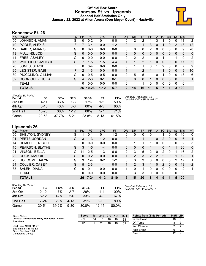# **Official Box Score Kennesaw St. vs Lipscomb Second Half Statistics Only January 22, 2022 at Allen Arena (Don Meyer Court) - Nashville**



# **Kennesaw St. 26**

| No. | Player               | S | <b>Pts</b>    | FG.       | 3FG      | <b>FT</b> | OR | <b>DR</b> | TR             | <b>PF</b> | A | TO       | <b>B</b> lk | Stl      | <b>Min</b> | $+/-$ |
|-----|----------------------|---|---------------|-----------|----------|-----------|----|-----------|----------------|-----------|---|----------|-------------|----------|------------|-------|
| 00  | JOHNSON, AMANI       | G | 0             | $0 - 2$   | 0-1      | $0-0$     | 0  | 2         | 2              |           | 3 |          |             | 0        | 18         | 2     |
| 10  | POOLE, ALEXIS        | F |               | $3 - 4$   | $0 - 0$  | $1 - 2$   | 0  | 1         |                | 3         | 0 |          | 0           | 2        | 13         | $-12$ |
| 12  | <b>BAKER, AMARIS</b> | G | 0             | $0-0$     | $0 - 0$  | $0 - 0$   | 0  | 0         | 0              | 2         | 0 | 0        | 0           | 0        | 9          | -8    |
| 13  | MULLINS, JODI        | G | 0             | $0 - 0$   | $0 - 0$  | $0 - 0$   | 0  | 0         | $\mathbf{0}$   | $\Omega$  | 0 | 0        | 0           | 0        | $\Omega$   | 0     |
| 14  | FREE, ASHLEY         | G | $\Omega$      | $0 - 0$   | $0 - 0$  | $0 - 0$   | 0  | 2         | 2              | 4         | 0 |          |             | 1        | 9          | 2     |
| 15  | WHITFIELD, JAH'CHE   | G | 7             | $1 - 5$   | $1 - 5$  | $4 - 4$   |    | 1         | 2              |           | 0 | $\Omega$ | 0           | 0        | 17         | 2     |
| 20  | JONES, STACIE        | F | 6             | $3-4$     | $0 - 0$  | $0 - 0$   | 0  | 1         | 1              | 0         |   | 2        | 0           | $\Omega$ | 7          | 9     |
| 25  | LEGISTER, GABI       | F | $\mathcal{P}$ | $1 - 3$   | $0 - 0$  | $0 - 0$   |    | 1         | $\overline{2}$ |           |   | 1        | 0           | $\Omega$ | 9          | 10    |
| 30  | PICCOLINO, GILLIAN   | G | 0             | $0 - 5$   | $0 - 5$  | $0 - 0$   | 0  | 5         | 5              |           | 0 |          | 0           | 0        | 13         | -6    |
| 32  | RODRIGUEZ, JULIA     | G | 4             | $2 - 3$   | $0 - 1$  | $0 - 1$   | 0  | 0         | 0              |           | 0 | $\Omega$ | $\Omega$    | $\Omega$ | 5          | 1     |
|     | TEAM                 |   | 0             | $0 - 0$   | $0 - 0$  | $0 - 0$   | 0  |           |                | 0         | 0 | 0        | 0           | 0        | 0          |       |
|     | <b>TOTALS</b>        |   | 26.           | $10 - 26$ | $1 - 12$ | $5 - 7$   | 2  | 14        | 16             | 11        | 5 |          |             | 3        | 100        |       |

| <b>Shooting By Period</b><br>Period | FG        | FG%   | 3FG      | 3FG%   | FT       | FT%   | Deadball Rebounds: 3,0<br>Last FG Half: KSU 4th-02:47 |
|-------------------------------------|-----------|-------|----------|--------|----------|-------|-------------------------------------------------------|
| 3rd Qtr                             | 4-11      | 36%   | 1-6      | 17%    | $1 - 2$  | 50%   |                                                       |
| 4th Otr                             | $6 - 15$  | 40%   | $0 - 6$  | $00\%$ | $4 - 5$  | 80%   |                                                       |
| 2nd Half                            | $10 - 26$ | 38%   | $1 - 12$ | 08%    | 5-7      | 71%   |                                                       |
| Game                                | $20 - 53$ | 37.7% | $5-21$   | 23.8%  | $8 - 13$ | 61.5% |                                                       |

# **Lipscomb 26**

|     | <b>TOTALS</b>        |   | 26         | $7 - 24$  | $4 - 13$ | $8 - 10$ | 5  | 15            | 20 | 8              | 4            | 9   |             | 5   | 100         |              |
|-----|----------------------|---|------------|-----------|----------|----------|----|---------------|----|----------------|--------------|-----|-------------|-----|-------------|--------------|
|     | <b>TEAM</b>          |   | 0          | $0 - 0$   | $0 - 0$  | $0-0$    | 0  | 3             | 3  | 0              | 0            | 0   | 0           | 0   | $\mathbf 0$ |              |
| 33  | SALEH, DIANA         | С | 0          | $0 - 1$   | $0 - 0$  | $0 - 0$  | 1  | $\Omega$      | 1. | 0              | $\Omega$     | 0   | 0           | 0   | 2           | $-4$         |
| 24  | COLLIER, CASEY       | G | 5          | $2 - 3$   | $1 - 1$  | $0 - 0$  |    | $\mathcal{P}$ | 3  | 1              | 0            | 2   | $\Omega$    | 0   | 18          | $-2$         |
| 23  | HOLCOMB, JALYN       | G | 3          | $1 - 4$   | $0 - 2$  | $1-2$    | 0  | 3             | 3  | 0              | 0            | 0   | 0           | 2   | 17          | 1            |
| 22  | COOK, MADDIE         | G | 0          | $0 - 2$   | $0 - 0$  | $0 - 0$  |    | 2             | 3  | $\overline{2}$ | 2            | 2   | $\Omega$    |     | 12          | 1            |
| 21  | <b>VINSON, BELLA</b> | G | 11         | $2 - 5$   | 1-3      | $6-6$    | 2  | 3             | 5  | 2              | 0            | 2   | 0           |     | 16          | 2            |
| 15  | PEARSON, BLYTHE      | G | 3          | $1 - 5$   | 1-4      | $0-0$    | 0  | 0             | 0  |                |              | 0   |             |     | 20          | $\mathbf{0}$ |
| 14  | HEMPHILL, NICOLE     | F | 0          | $0 - 0$   | $0 - 0$  | $0-0$    | 0  |               |    |                | 0            | 0   | 0           | 0   | 2           | 3            |
| 01  | PEETE, JORDAN        | G | 3          | $1 - 3$   | $1 - 2$  | $0-0$    | 0  |               |    |                | 0            | 2   | 0           | 0   | 6           | -1           |
| 00  | SHELTON, SYDNEY      | G |            | $0 - 1$   | 0-1      | $1 - 2$  | 0  | 0             | 0  | 0              |              |     |             | 0   | 10          | $\mathbf{0}$ |
| No. | <b>Plaver</b>        | S | <b>Pts</b> | <b>FG</b> | 3FG      | FT       | 0R | <b>DR</b>     | TR | PF             | $\mathsf{A}$ | TO. | <b>B</b> lk | Stl | Min         | $+/-$        |

*Deadball Rebounds:* 0,0 *Last FG Half:* LIP 4th-03:15

| <b>Shooting By Period</b><br>Period | FG        | FG%   | 3FG       | 3FG%  | FT        | FT%      |
|-------------------------------------|-----------|-------|-----------|-------|-----------|----------|
| 3rd Qtr                             | $2 - 12$  | 17%   | 2-7       | 29%   | 4-4       | 100%     |
| 4th Otr                             | $5 - 12$  | 42%   | $2-6$     | 33%   | 4-6       | 67%      |
| 2nd Half                            | $7-24$    | 29%   | $4 - 1.3$ | 31%   | $8 - 10$  | 80%      |
| Game                                | $20 - 51$ | 39.2% | $9 - 30$  | 30.0% | $12 - 15$ | $80.0\%$ |

| Game Notes:                                    | <b>Score</b> | 1st l | 2nd | 3rd | 4th | <b>TOT</b> | <b>Points from (This Period)</b> | <b>KSU LIP</b> |  |
|------------------------------------------------|--------------|-------|-----|-----|-----|------------|----------------------------------|----------------|--|
| Officials: Tim Hackett, Molly McFadden, Robert | KSU          | 14    |     | 10  | 16  | 53         | In the Paint                     | 18             |  |
| Swanigan                                       | LΙP          |       | 28  | 10  | 16  | 61         | Off Turns                        |                |  |
| Start Time: 12:01 PM ET                        |              |       |     |     |     |            | 2nd Chance                       |                |  |
| End Time: 01:57 PM ET<br>Game Duration: 1:56   |              |       |     |     |     |            | Fast Break                       |                |  |
| Conference Game;                               |              |       |     |     |     |            | Bench                            | 12             |  |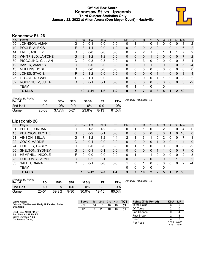## **Official Box Score Kennesaw St. vs Lipscomb Third Quarter Statistics Only January 22, 2022 at Allen Arena (Don Meyer Court) - Nashville**



# **Kennesaw St. 26**

| No. | Player               | S | <b>Pts</b>     | <b>FG</b> | 3FG     | <b>FT</b> | 0R       | D <sub>R</sub> | TR | PF       | A        | TO | <b>Blk</b> | Stl              | Min | $+/-$ |
|-----|----------------------|---|----------------|-----------|---------|-----------|----------|----------------|----|----------|----------|----|------------|------------------|-----|-------|
| 00  | JOHNSON, AMANI       | G | 0              | $0 - 1$   | $0 - 0$ | $0 - 0$   | 0        |                |    | 0        |          | 0  | 0          | 0                | 8   | 2     |
| 10  | POOLE, ALEXIS        | F | 3              | $1 - 1$   | $0 - 0$ | $1 - 2$   | 0        | 0              | 0  | 2        | 0        |    | 0          |                  | 6   | $-2$  |
| 14  | FREE, ASHLEY         | G | 0              | $0 - 0$   | $0 - 0$ | $0 - 0$   | 0        | 2              | 2  |          |          |    |            |                  | 7   | 2     |
| 15  | WHITFIELD, JAH'CHE   | G | 3              | $1 - 2$   | $1 - 2$ | $0 - 0$   | 0        | 0              | 0  |          | $\Omega$ | 0  | 0          | 0                | 7   | 2     |
| 30  | PICCOLINO, GILLIAN   | G | 0              | $0 - 3$   | $0 - 3$ | $0 - 0$   | 0        | 3              | 3  | 0        | $\Omega$ | 0  | 0          | $\Omega$         | 8   | -4    |
| 12  | <b>BAKER, AMARIS</b> | G | $\Omega$       | $0 - 0$   | $0 - 0$ | $0 - 0$   | $\Omega$ | 0              | 0  |          | 0        | 0  | 0          | $\Omega$         | 5   | $-4$  |
| 13  | MULLINS, JODI        | G | 0              | $0 - 0$   | $0 - 0$ | $0 - 0$   | 0        | 0              | 0  | 0        | $\Omega$ | 0  | 0          | 0                | 0   | 0     |
| 20  | JONES, STACIE        | F | $\overline{2}$ | $1 - 2$   | $0 - 0$ | $0 - 0$   | $\Omega$ | $\Omega$       | 0  | $\Omega$ |          |    | 0          | $\Omega$         | 3   | 4     |
| 25  | LEGISTER, GABI       | F | 2              | $1 - 1$   | $0 - 0$ | $0 - 0$   | 0        | 0              | 0  | 0        |          |    | 0          | $\Omega$         | 3   | 2     |
| 32  | RODRIGUEZ, JULIA     | G | 0              | $0 - 1$   | $0 - 1$ | $0 - 0$   | $\Omega$ | $\Omega$       | 0  | 0        | $\Omega$ | 0  | 0          | $\Omega$         | 3   | $-2$  |
|     | <b>TEAM</b>          |   |                |           |         |           | $\Omega$ |                |    | $\Omega$ |          | 0  |            |                  |     |       |
|     | <b>TOTALS</b>        |   | 10             | $4 - 11$  | $1 - 6$ | $1 - 2$   | 0        |                |    | 5        | 3        | 4  |            | $\boldsymbol{P}$ | 50  |       |
|     |                      |   |                |           |         |           |          |                |    |          |          |    |            |                  |     |       |

| <b>Shooting By Period</b><br>Period | FG        | FG%   | 3FG    | 3FG%  | FТ     | FT%   | Deadball Rebounds: 3,0 |
|-------------------------------------|-----------|-------|--------|-------|--------|-------|------------------------|
| 2nd Half                            | 0-0       | 0%    | 0-0    | $0\%$ | 0-0    | 0%    |                        |
| Game                                | $20 - 53$ | 37.7% | $5-21$ | 23.8% | $8-13$ | 61.5% |                        |

# **Lipscomb 26**

| No. | Plaver                  | S  | <b>Pts</b>   | <b>FG</b> | 3FG     | <b>FT</b> | 0R           | DR | TR | <b>PF</b>   | $\mathsf{A}$ | TO       | <b>B</b> lk | Stl      | Min | $+/-$        |
|-----|-------------------------|----|--------------|-----------|---------|-----------|--------------|----|----|-------------|--------------|----------|-------------|----------|-----|--------------|
| 01  | PEETE, JORDAN           | G  | 3            | $1 - 3$   | 1-2     | $0-0$     | 0            |    |    | 0           | 0            | 2        | 0           | 0        | 4   | $\mathbf{0}$ |
| 15  | PEARSON, BLYTHE         | G  | $\Omega$     | $0 - 2$   | $0 - 1$ | $0-0$     | 0            | 0  | 0  | 0           | 0            | 0        |             | $\Omega$ | 10  | 0            |
| 21  | <b>VINSON, BELLA</b>    | G  |              | $1 - 2$   | $1 - 2$ | $4 - 4$   | 2            |    | 3  | 1           | $\Omega$     | 2        | 0           | 0        | 7   | 1            |
| 22  | COOK, MADDIE            | G  | 0            | $0 - 1$   | $0 - 0$ | $0 - 0$   | 0            | 0  | 0  | 0           |              | 0        | 0           |          | 4   | $\mathbf{0}$ |
| 24  | <b>COLLIER, CASEY</b>   | G  | 0            | $0-0$     | $0 - 0$ | $0 - 0$   | 0            |    |    | 0           | 0            | 0        | 0           | 0        | 8   | $-2$         |
| 00  | SHELTON, SYDNEY         | G  | 0            | $0 - 1$   | $0 - 1$ | $0 - 0$   | $\mathbf{0}$ | 0  | 0  | 0           |              |          | 0           | $\Omega$ | 7   | $\mathbf{0}$ |
| 14  | <b>HEMPHILL, NICOLE</b> | F. | 0            | $0 - 0$   | $0 - 0$ | $0 - 0$   | 0            |    |    |             | $\Omega$     | 0        | 0           | $\Omega$ | 2   | 3            |
| 23  | HOLCOMB, JALYN          | G  | $\Omega$     | $0 - 2$   | $0 - 1$ | $0 - 0$   | $\mathbf{0}$ | 3  | 3  | 0           | $\mathbf{0}$ | $\Omega$ | 0           |          | 8   | 2            |
| 33  | SALEH, DIANA            | С  | <sup>0</sup> | $0 - 1$   | $0 - 0$ | $0-0$     | 1            | 0  | 1. | 0           | $\mathbf{0}$ | 0        | 0           | $\Omega$ | 2   | $-4$         |
|     | TEAM                    |    |              |           |         |           | $\Omega$     | 0  | 0  | 0           |              | 0        |             |          |     |              |
|     | <b>TOTALS</b>           |    | 10           | $2 - 12$  | $2 - 7$ | $4 - 4$   | 3            | 7  | 10 | $\mathbf 2$ | 2            | 5        |             | 2        | 50  |              |
|     |                         |    |              |           |         |           |              |    |    |             |              |          |             |          |     |              |

| <b>Shooting By Period</b><br>Period | FG        | FG%   | 3FG      | 3FG%  |           | FT%   | Deadball Rebounds: 0.0 |
|-------------------------------------|-----------|-------|----------|-------|-----------|-------|------------------------|
| 2nd Half                            | 0-0       | 0%    | 0-0      | $0\%$ | ი ი       | 0%    |                        |
| Game                                | $20 - 51$ | 39.2% | $9 - 30$ | 30.0% | $12 - 15$ | 80.0% |                        |

| Game Notes:                                                | <b>Score</b> |    | 1st 2nd 3rd 4th |    |    | <b>- тот</b> | <b>Points (This Period)</b> | <b>KSU</b>    | <b>LIP</b>    |
|------------------------------------------------------------|--------------|----|-----------------|----|----|--------------|-----------------------------|---------------|---------------|
| Officials: Tim Hackett, Molly McFadden, Robert<br>Swanigan | KSU          | 14 | 13              | 10 | 16 | 53           | In the Paint                |               |               |
|                                                            | LIP          |    | 28              | 10 | 16 | 61           | Off Turns                   |               |               |
| Start Time: 12:01 PM ET                                    |              |    |                 |    |    |              | 2nd Chance                  |               |               |
| End Time: 01:57 PM ET<br>Game Duration: 1:56               |              |    |                 |    |    |              | <b>Fast Break</b>           |               |               |
| Conference Game:                                           |              |    |                 |    |    |              | Bench                       |               |               |
|                                                            |              |    |                 |    |    |              | Per Poss                    | 0.625<br>5/16 | 0.625<br>4/16 |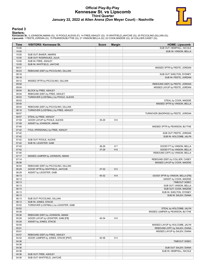## **Official Play-By-Play Kennesaw St. vs Lipscomb Third Quarter January 22, 2022 at Allen Arena (Don Meyer Court) - Nashville**



### **Period 3**

<mark>Startersː</mark><br>Kennesaw St.: 0 JOHNSON,AMANI (G); 10 POOLE,ALEXIS (F); 14 FREE,ASHLEY (G); 15 WHITFIELD,JAH'CHE (G); 30 PICCOLINO,GILLIAN (G);<br>Lipscomb: 1 PEETE,JORDAN (G); 15 PEARSON,BLYTHE (G); 21 VINSON,BELLA (G); 22 COOK,

| <b>Time</b>    | <b>VISITORS: Kennesaw St.</b>         | <b>Score</b> | <b>Margin</b>  | <b>HOME: Lipscomb</b>                            |
|----------------|---------------------------------------|--------------|----------------|--------------------------------------------------|
| 10:00          |                                       |              |                | SUB OUT: HEMPHILL, NICOLE                        |
| 10:00          |                                       |              |                | SUB IN: VINSON, BELLA                            |
| 10:00          | SUB OUT: BAKER, AMARIS                |              |                |                                                  |
| 10:00          | SUB OUT: RODRIGUEZ, JULIA             |              |                |                                                  |
| 10:00          | SUB IN: FREE, ASHLEY                  |              |                |                                                  |
| 10:00          | SUB IN: WHITFIELD, JAH'CHE            |              |                |                                                  |
| 09:31          |                                       |              |                | MISSED 3PTR by PEETE, JORDAN                     |
| 09:23          | REBOUND (DEF) by PICCOLINO, GILLIAN   |              |                |                                                  |
| 09:18          |                                       |              |                | SUB OUT: SHELTON, SYDNEY                         |
| 09:18          |                                       |              |                | SUB IN: PEETE, JORDAN                            |
| 09:12          | MISSED 3PTR by PICCOLINO, GILLIAN     |              |                |                                                  |
| 09:09          |                                       |              |                | REBOUND (DEF) by PEETE, JORDAN                   |
| 09:04          |                                       |              |                | MISSED LAYUP by PEETE, JORDAN                    |
| 09:04          | BLOCK by FREE, ASHLEY                 |              |                |                                                  |
| 09:04          | REBOUND (DEF) by FREE, ASHLEY         |              |                |                                                  |
| 08:53          | TURNOVER (LOSTBALL) by POOLE, ALEXIS  |              |                |                                                  |
| 08:53          |                                       |              |                | STEAL by COOK, MADDIE                            |
| 08:45          |                                       |              |                | MISSED 3PTR by VINSON, BELLA                     |
| 08:44          | REBOUND (DEF) by PICCOLINO, GILLIAN   |              |                |                                                  |
| 08:19          | TURNOVER (LOSTBALL) by FREE, ASHLEY   |              |                |                                                  |
| 08:07          | STEAL by FREE, ASHLEY                 |              |                | TURNOVER (BADPASS) by PEETE, JORDAN              |
| 08:07          |                                       |              |                |                                                  |
| 07:59<br>07:59 | GOOD! LAYUP by POOLE, ALEXIS          | 35-29        | H <sub>6</sub> |                                                  |
|                | ASSIST by JOHNSON, AMANI              |              |                |                                                  |
| 07:45<br>07:42 |                                       |              |                | MISSED 3PTR by PEARSON, BLYTHE                   |
| 07:42          | FOUL (PERSONAL) by FREE, ASHLEY       |              |                |                                                  |
| 07:42          |                                       |              |                | SUB OUT: PEETE, JORDAN<br>SUB IN: HOLCOMB, JALYN |
| 07:42          | SUB OUT: POOLE, ALEXIS                |              |                |                                                  |
| 07:42          | SUB IN: LEGISTER, GABI                |              |                |                                                  |
| 07:42          |                                       | 36-29        | H 7            | GOOD! FT by VINSON, BELLA                        |
| 07:42          |                                       | 37-29        | H 8            | GOOD! FT by VINSON, BELLA                        |
| 07:40          |                                       |              |                | REBOUND (OFF) by VINSON, BELLA                   |
| 07:17          | MISSED JUMPER by JOHNSON, AMANI       |              |                |                                                  |
| 07:14          |                                       |              |                | REBOUND (DEF) by COLLIER, CASEY                  |
| 06:56          |                                       |              |                | MISSED LAYUP by COOK, MADDIE                     |
| 06:54          | REBOUND (DEF) by PICCOLINO, GILLIAN   |              |                |                                                  |
| 06:29          | GOOD! 3PTR by WHITFIELD, JAH'CHE      | 37-32        | H <sub>5</sub> |                                                  |
| 06:29          | ASSIST by LEGISTER, GABI              |              |                |                                                  |
| 06:13          |                                       | 40-32        | H 8            | GOOD! 3PTR by VINSON, BELLA [FB]                 |
| 06:13          |                                       |              |                | ASSIST by COOK, MADDIE                           |
| 06:13          |                                       |              |                | TIMEOUT 30SEC                                    |
| 06:13          |                                       |              |                | SUB OUT: VINSON, BELLA                           |
| 06:13          |                                       |              |                | SUB OUT: COOK, MADDIE                            |
| 06:13          |                                       |              |                | SUB IN: SHELTON, SYDNEY                          |
| 06:13          |                                       |              |                | SUB IN: SALEH, DIANA                             |
| 06:13          | SUB OUT: PICCOLINO, GILLIAN           |              |                |                                                  |
| 06:13          | SUB IN: JONES, STACIE                 |              |                |                                                  |
| 05:52          | TURNOVER (LOSTBALL) by LEGISTER, GABI |              |                |                                                  |
| 05:52          |                                       |              |                | STEAL by HOLCOMB, JALYN                          |
| 05:38          |                                       |              |                | MISSED JUMPER by PEARSON, BLYTHE                 |
| 05:36          | REBOUND (DEF) by JOHNSON, AMANI       |              |                |                                                  |
| 05:29          | GOOD! LAYUP by LEGISTER, GABI [FB]    | 40-34        | H <sub>6</sub> |                                                  |
| 05:29          | ASSIST by JONES, STACIE               |              |                |                                                  |
| 05:05          |                                       |              |                | MISSED LAYUP by HOLCOMB, JALYN                   |
| 05:01          |                                       |              |                | REBOUND (OFF) by SALEH, DIANA                    |
| 05:01          |                                       |              |                | MISSED LAYUP by SALEH, DIANA                     |
| 04:57          | REBOUND (DEF) by FREE, ASHLEY         |              |                |                                                  |
| 04:42          | GOOD! JUMPER by JONES, STACIE [PNT]   | 40-36        | H4             |                                                  |
| 04:36          |                                       |              |                | TIMEOUT 30SEC                                    |
| 04:36          |                                       |              |                |                                                  |
| 04:36          |                                       |              |                | SUB OUT: SALEH, DIANA                            |
| 04:36          |                                       |              |                | SUB IN: HEMPHILL, NICOLE                         |
| 04:36          | SUB OUT: FREE, ASHLEY                 |              |                |                                                  |
| 04:36          | SUB OUT: WHITFIELD, JAH'CHE           |              |                |                                                  |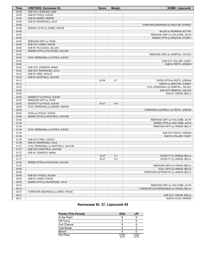| <b>Time</b> | <b>VISITORS: Kennesaw St.</b>         | <b>Score</b> | <b>Margin</b>  | <b>HOME: Lipscomb</b>                   |
|-------------|---------------------------------------|--------------|----------------|-----------------------------------------|
| 04:36       | SUB OUT: LEGISTER, GABI               |              |                |                                         |
| 04:36       | SUB IN: POOLE, ALEXIS                 |              |                |                                         |
| 04:36       | SUB IN: BAKER, AMARIS                 |              |                |                                         |
| 04:36       | SUB IN: RODRIGUEZ, JULIA              |              |                |                                         |
| 04:26       |                                       |              |                | TURNOVER (BADPASS) by SHELTON, SYDNEY   |
| 04:08       | MISSED LAYUP by JONES, STACIE         |              |                |                                         |
| 04:08       |                                       |              |                | BLOCK by PEARSON, BLYTHE                |
| 04:03       |                                       |              |                | REBOUND (DEF) by HOLCOMB, JALYN         |
| 04:00       |                                       |              |                | MISSED 3PTR by SHELTON, SYDNEY          |
| 04:00       | REBOUND (DEF) by TEAM                 |              |                |                                         |
| 04:00       | SUB OUT: JONES, STACIE                |              |                |                                         |
| 04:00       | SUB IN: PICCOLINO, GILLIAN            |              |                |                                         |
| 03:44       | MISSED 3PTR by PICCOLINO, GILLIAN     |              |                |                                         |
| 03:44       |                                       |              |                | REBOUND (DEF) by HEMPHILL, NICOLE       |
| 03:44       | FOUL (PERSONAL) by POOLE, ALEXIS      |              |                |                                         |
| 03:42       |                                       |              |                | SUB OUT: COLLIER, CASEY                 |
| 03:42       |                                       |              |                | SUB IN: PEETE, JORDAN                   |
| 03:42       | SUB OUT: JOHNSON, AMANI               |              |                |                                         |
| 03:42       | SUB OUT: RODRIGUEZ, JULIA             |              |                |                                         |
| 03:42       | SUB IN: FREE, ASHLEY                  |              |                |                                         |
| 03:42       | SUB IN: WHITFIELD, JAH'CHE            |              |                |                                         |
| 03:13       |                                       | 43-36        | H 7            | GOOD! 3PTR by PEETE, JORDAN             |
| 03:13       |                                       |              |                | ASSIST by SHELTON, SYDNEY               |
| 02:55       |                                       |              |                | FOUL (PERSONAL) by HEMPHILL, NICOLE     |
| 02:55       |                                       |              |                | SUB OUT: HEMPHILL, NICOLE               |
| 02:55       |                                       |              |                | SUB IN: VINSON, BELLA                   |
| 02:55       | MISSED FT by POOLE, ALEXIS            |              |                |                                         |
| 02:55       | REBOUND (OFF) by TEAM                 |              |                |                                         |
| 02:55       | GOOD! FT by POOLE, ALEXIS             | 43-37        | H <sub>6</sub> |                                         |
| 02:46       | FOUL (PERSONAL) by BAKER, AMARIS      |              |                |                                         |
| 02:24       |                                       |              |                | TURNOVER (LOSTBALL) by PEETE, JORDAN    |
| 02:24       | STEAL by POOLE, ALEXIS                |              |                |                                         |
| 02:04       | MISSED 3PTR by WHITFIELD, JAH'CHE     |              |                |                                         |
| 02:00       |                                       |              |                | REBOUND (DEF) by HOLCOMB, JALYN         |
| 01:39       |                                       |              |                | MISSED 3PTR by HOLCOMB, JALYN           |
| 01:39       |                                       |              |                | REBOUND (OFF) by VINSON, BELLA          |
| 01:39       | FOUL (PERSONAL) by POOLE, ALEXIS      |              |                |                                         |
| 01:39       |                                       |              |                | SUB OUT: PEETE, JORDAN                  |
| 01:39       |                                       |              |                | SUB IN: COLLIER, CASEY                  |
| 01:39       | SUB OUT: FREE, ASHLEY                 |              |                |                                         |
| 01:39       | SUB IN: RODRIGUEZ, JULIA              |              |                |                                         |
| 01:37       | FOUL (PERSONAL) by WHITFIELD, JAH'CHE |              |                |                                         |
| 01:37       | SUB OUT: WHITFIELD, JAH'CHE           |              |                |                                         |
| 01:37       | SUB IN: JOHNSON, AMANI                |              |                |                                         |
| 01:37       |                                       | 44-37        | H 7            | GOOD! FT by VINSON, BELLA               |
| 01:37       |                                       | 45-37        | H 8            | GOOD! FT by VINSON, BELLA               |
| 01:25       | MISSED 3PTR by PICCOLINO, GILLIAN     |              |                |                                         |
| 01:22       |                                       |              |                | REBOUND (DEF) by VINSON, BELLA          |
| 00:56       |                                       |              |                | FOUL (OFF) by VINSON, BELLA             |
| 00:56       |                                       |              |                | TURNOVER (OFFENSIVE) by VINSON, BELLA   |
| 00:56       | SUB OUT: POOLE, ALEXIS                |              |                |                                         |
| 00:56       | SUB IN: JONES, STACIE                 |              |                |                                         |
| 00:39       | MISSED 3PTR by RODRIGUEZ, JULIA       |              |                |                                         |
| 00:32       |                                       |              |                | REBOUND (DEF) by HOLCOMB, JALYN         |
| 00:18       |                                       |              |                | TURNOVER (OUTOFBOUNDS) by VINSON, BELLA |
| 00:01       | TURNOVER (BADPASS) by JONES, STACIE   |              |                |                                         |
| 00:01       |                                       |              |                | SUB OUT: VINSON, BELLA                  |
| 00:01       |                                       |              |                | SUB IN: COOK, MADDIE                    |

# **Kennesaw St. 37, Lipscomb 45**

| <b>Points (This Period)</b> | <b>KSU</b>    | LIP           |
|-----------------------------|---------------|---------------|
| In the Paint                |               |               |
| Off Turns                   | ◠             |               |
| 2nd Chance                  |               |               |
| <b>Fast Break</b>           | ິ             |               |
| Bench                       |               |               |
| Per Poss                    | 0.625<br>5/16 | 0.625<br>4/16 |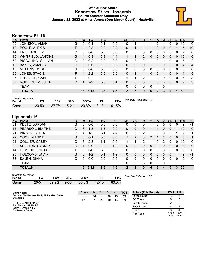## **Official Box Score Kennesaw St. vs Lipscomb Fourth Quarter Statistics Only January 22, 2022 at Allen Arena (Don Meyer Court) - Nashville**



# **Kennesaw St. 16**

| No.               | Player                | S | <b>Pts</b> | FG       | 3FG     | <b>FT</b> | <b>OR</b>    | D <sub>R</sub> | TR             | PF       | A            | TO | <b>Blk</b> | Stl          | Min            | $+/-$        |
|-------------------|-----------------------|---|------------|----------|---------|-----------|--------------|----------------|----------------|----------|--------------|----|------------|--------------|----------------|--------------|
| 00                | JOHNSON, AMANI        | G | 0          | 0-1      | $0 - 1$ | $0 - 0$   | 0            |                |                |          |              |    | 0          | 0            | 10             | $\mathbf{0}$ |
| 10                | POOLE, ALEXIS         | F | 4          | $2 - 3$  | $0 - 0$ | $0 - 0$   | 0            |                |                |          | 0            | 0  | 0          |              | 7              | $-10$        |
| 14                | FREE, ASHLEY          | G | 0          | $0 - 0$  | $0 - 0$ | $0 - 0$   | 0            | 0              | 0              | 0        |              | 0  | 0          | 0            | 2              | 0            |
| 15                | WHITFIELD, JAH'CHE    | G | 4          | $0 - 3$  | $0 - 3$ | $4 - 4$   |              |                | $\overline{2}$ | 0        | $\Omega$     | 0  | 0          | $\Omega$     | 10             | 0            |
| 30                | PICCOLINO, GILLIAN    | G | 0          | $0 - 2$  | $0 - 2$ | $0 - 0$   | 0            | 2              | 2              |          | 0            |    | 0          | 0            | 5              | $-2$         |
| $12 \overline{ }$ | <b>BAKER, AMARIS</b>  | G | 0          | $0 - 0$  | $0 - 0$ | $0 - 0$   | 0            | 0              | 0              |          | 0            | 0  | 0          | $\mathbf{0}$ | 4              | $-4$         |
| 13                | MULLINS, JODI         | G | 0          | $0 - 0$  | $0 - 0$ | $0 - 0$   | 0            | 0              | 0              | 0        |              | 0  | 0          | 0            | 0              | 0            |
| 20                | JONES, STACIE         | F | 4          | $2 - 2$  | $0 - 0$ | $0 - 0$   | 0            |                | 1              | $\Omega$ | $\mathbf{0}$ |    | 0          | $\mathbf{0}$ | $\overline{4}$ | 5            |
| 25                | <b>LEGISTER, GABI</b> | F | 0          | $0 - 2$  | $0 - 0$ | $0 - 0$   | 1            |                | 2              |          | 0            | 0  | 0          | $\Omega$     | 6              | 8            |
| 32                | RODRIGUEZ, JULIA      | G | 4          | $2 - 2$  | $0 - 0$ | $0 - 1$   | $\Omega$     | $\mathbf{0}$   | 0              |          | $\Omega$     | 0  | 0          | $\mathbf{0}$ | 2              | 3            |
|                   | TEAM                  |   |            |          |         |           | 0            | $\mathbf{0}$   | 0              | 0        |              | 0  |            |              |                |              |
|                   | <b>TOTALS</b>         |   | 16         | $6 - 15$ | $0 - 6$ | $4 - 5$   | $\mathbf{2}$ |                | 9              | 6        | 2            | 3  | 0          |              | 50             |              |
|                   |                       |   |            |          |         |           |              |                |                |          |              |    |            |              |                |              |

| <b>Shooting By Period</b><br>Period | FG    | FG%   | 3FG      | 3FG%  | FT     | FT%   | Deadball Rebounds: 3,0 |
|-------------------------------------|-------|-------|----------|-------|--------|-------|------------------------|
| Game                                | 20-53 | 37.7% | $5 - 21$ | 23.8% | $8-13$ | 61.5% |                        |

# **Lipscomb 16**

| No. | Player                | S | <b>Pts</b>   | <b>FG</b> | 3FG     | <b>FT</b> | 0R       | DR       | TR | <b>PF</b>    | A            | TO       | <b>BIK</b>   | Stl          | Min      | $+/-$        |
|-----|-----------------------|---|--------------|-----------|---------|-----------|----------|----------|----|--------------|--------------|----------|--------------|--------------|----------|--------------|
| 01  | PEETE, JORDAN         | G | 0            | $0 - 0$   | $0-0$   | $0-0$     | 0        | 0        | 0  |              |              | 0        | 0            | 0            | 2        | $-1$         |
| 15  | PEARSON, BLYTHE       | G | 3            | $1 - 3$   | $1 - 3$ | $0 - 0$   | 0        | 0        | 0  |              |              | 0        | 0            |              | 10       | $\mathbf{0}$ |
| 21  | VINSON, BELLA         | G | 4            | 1-3       | $0 - 1$ | $2 - 2$   | 0        | 2        | 2  |              | 0            | 0        | 0            |              | 9        | 1            |
| 22  | COOK, MADDIE          | G | $\mathbf{0}$ | $0 - 1$   | $0 - 0$ | $0 - 0$   |          | 2        | 3  | 2            |              | 2        | $\mathbf{0}$ | $\mathbf{0}$ | 8        | $\mathbf 1$  |
| 24  | <b>COLLIER, CASEY</b> | G | 5            | $2 - 3$   | 1-1     | $0-0$     |          |          | 2  |              | 0            | 2        | 0            | 0            | 10       | $\mathbf{0}$ |
| 00  | SHELTON, SYDNEY       | G |              | $0 - 0$   | $0 - 0$ | $1 - 2$   | 0        | $\Omega$ | 0  | $\Omega$     | $\Omega$     | $\Omega$ | $\Omega$     | $\Omega$     | 3        | $\mathbf{0}$ |
| 14  | HEMPHILL, NICOLE      | F | 0            | $0 - 0$   | $0 - 0$ | $0-0$     | 0        | 0        | 0  | $\Omega$     | $\Omega$     | 0        | $\Omega$     | $\Omega$     | $\Omega$ | $\mathbf{0}$ |
| 23  | HOLCOMB, JALYN        | G | 3            | $1 - 2$   | $0 - 1$ | $1 - 2$   | 0        | 0        | 0  | $\Omega$     | $\Omega$     | $\Omega$ | $\Omega$     |              | 9        | $-1$         |
| 33  | SALEH, DIANA          | C | 0            | $0-0$     | $0 - 0$ | $0-0$     | 0        | 0        | 0  | 0            | $\Omega$     | 0        | $\Omega$     | $\Omega$     | 0        | $\mathbf{0}$ |
|     | TEAM                  |   |              |           |         |           | $\Omega$ | 3        | 3  | $\mathbf{0}$ |              | 0        |              |              |          |              |
|     | <b>TOTALS</b>         |   | 16           | $5 - 12$  | $2 - 6$ | $4 - 6$   | 2        | 8        | 10 | 6            | $\mathbf{2}$ | 4        | 0            |              | 50       |              |

| <b>Shooting By Period</b> |           |       |          |       |           |       |  |
|---------------------------|-----------|-------|----------|-------|-----------|-------|--|
| Period                    | FG        | FG%   | 3FG      | 3FG%  |           | FT%   |  |
| Game                      | $20 - 51$ | 39.2% | $9 - 30$ | 30.0% | $12 - 15$ | 80.0% |  |

*Deadball Rebounds:* 0,0

| Game Notes:                                    | <b>Score</b> | 1st l | $\blacksquare$ 2nd | 3rd | 4th | тот | <b>Points (This Period)</b> | <b>KSU</b> | <b>LIP</b> |
|------------------------------------------------|--------------|-------|--------------------|-----|-----|-----|-----------------------------|------------|------------|
| Officials: Tim Hackett, Molly McFadden, Robert | <b>KSU</b>   | 14    | 13                 | 10  | 16  | 53  | In the Paint                |            |            |
| Swanigan                                       | LIP          |       | 28                 | 10  | 16  | 61  | Off Turns                   |            |            |
| Start Time: 12:01 PM ET                        |              |       |                    |     |     |     | 2nd Chance                  |            |            |
| End Time: 01:57 PM ET<br>Game Duration: 1:56   |              |       |                    |     |     |     | <b>Fast Break</b>           |            |            |
| Conference Game:                               |              |       |                    |     |     |     | Bench                       |            |            |
|                                                |              |       |                    |     |     |     | Per Poss                    | 0.889      | .000       |

8/18 1.000 7/16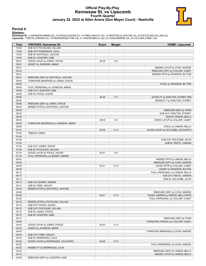## **Official Play-By-Play Kennesaw St. vs Lipscomb Fourth Quarter January 22, 2022 at Allen Arena (Don Meyer Court) - Nashville**



### **Period 4**

### **Starters:**

**Kennesaw St.**: 0 JOHNSON,AMANI (G); 10 POOLE,ALEXIS (F); 14 FREE,ASHLEY (G); 15 WHITFIELD,JAH'CHE (G); 30 PICCOLINO,GILLIAN (G);<br>**Lipscomb**: 1 PEETE,JORDAN (G); 15 PEARSON,BLYTHE (G); 21 VINSON,BELLA (G); 22 COOK,MADDIE (

| Time           | <b>VISITORS: Kennesaw St.</b>         | <b>Score</b> | <b>Margin</b>  | <b>HOME: Lipscomb</b>                                                |
|----------------|---------------------------------------|--------------|----------------|----------------------------------------------------------------------|
| 10:00          | SUB OUT: PICCOLINO, GILLIAN           |              |                |                                                                      |
| 10:00          | SUB OUT: RODRIGUEZ, JULIA             |              |                |                                                                      |
| 10:00          | SUB IN: WHITFIELD, JAH'CHE            |              |                |                                                                      |
| 10:00          | SUB IN: LEGISTER, GABI                |              |                |                                                                      |
| 09:51          | GOOD! LAYUP by JONES, STACIE          | 45-39        | H 6            |                                                                      |
| 09:51          | ASSIST by JOHNSON, AMANI              |              |                |                                                                      |
| 09:37<br>09:33 |                                       |              |                | MISSED LAYUP by COOK, MADDIE                                         |
| 09:31          |                                       |              |                | REBOUND (OFF) by COLLIER, CASEY<br>MISSED 3PTR by PEARSON, BLYTHE    |
| 09:27          | REBOUND (DEF) by WHITFIELD, JAH'CHE   |              |                |                                                                      |
| 09:02          | TURNOVER (BADPASS) by JONES, STACIE   |              |                |                                                                      |
| 09:02          |                                       |              |                | STEAL by PEARSON, BLYTHE                                             |
| 08:56          | FOUL (PERSONAL) by JOHNSON, AMANI     |              |                |                                                                      |
| 08:56          | SUB OUT: LEGISTER, GABI               |              |                |                                                                      |
| 08:56          | SUB IN: POOLE, ALEXIS                 |              |                |                                                                      |
| 08:56          |                                       | 46-39        | H <sub>7</sub> | GOOD! FT by SHELTON, SYDNEY [FB]                                     |
| 08:56          |                                       |              |                | MISSED FT by SHELTON, SYDNEY                                         |
| 08:56          | REBOUND (DEF) by JONES, STACIE        |              |                |                                                                      |
| 08:40          | MISSED 3PTR by WHITFIELD, JAH'CHE     |              |                |                                                                      |
| 08:35          |                                       |              |                | REBOUND (DEF) by TEAM                                                |
| 08:35          |                                       |              |                | SUB OUT: SHELTON, SYDNEY                                             |
| 08:35          |                                       |              |                | SUB IN: VINSON, BELLA                                                |
| 08:23          |                                       | 48-39        | H9             | GOOD! LAYUP by COLLIER, CASEY                                        |
| 08:09          | TURNOVER (BADPASS) by JOHNSON, AMANI  |              |                |                                                                      |
| 08:09          |                                       |              |                | STEAL by VINSON, BELLA                                               |
| 07:41          |                                       | 50-39        | H 11           | GOOD! LAYUP by HOLCOMB, JALYN [PNT]                                  |
| 07:40<br>07:40 | TIMEOUT 30SEC                         |              |                |                                                                      |
| 07:40          |                                       |              |                | SUB OUT: HOLCOMB, JALYN                                              |
| 07:40          |                                       |              |                | SUB IN: PEETE, JORDAN                                                |
| 07:40          | SUB OUT: JONES, STACIE                |              |                |                                                                      |
| 07:40          | SUB IN: PICCOLINO, GILLIAN            |              |                |                                                                      |
| 07:24          | GOOD! LAYUP by POOLE, ALEXIS          | $50 - 41$    | H9             |                                                                      |
| 07:18          | FOUL (PERSONAL) by BAKER, AMARIS      |              |                |                                                                      |
| 06:53          |                                       |              |                | MISSED 3PTR by VINSON, BELLA                                         |
| 06:50          |                                       |              |                | REBOUND (OFF) by COOK, MADDIE                                        |
| 06:29          |                                       | 53-41        | H 12           | GOOD! 3PTR by COLLIER, CASEY                                         |
| 06:29          |                                       |              |                | ASSIST by PEARSON, BLYTHE                                            |
| 06:13          |                                       |              |                | FOUL (PERSONAL) by VINSON, BELLA                                     |
| 06:13          |                                       |              |                | SUB OUT: PEETE, JORDAN                                               |
| 06:13          |                                       |              |                | SUB IN: HOLCOMB, JALYN                                               |
| 06:13          | SUB OUT: BAKER, AMARIS                |              |                |                                                                      |
| 06:13          | SUB IN: FREE, ASHLEY                  |              |                |                                                                      |
| 05:53<br>05:49 | MISSED 3PTR by WHITFIELD, JAH'CHE     |              |                |                                                                      |
| 05:40          |                                       | 55-41        | H 14           | REBOUND (DEF) by COOK, MADDIE<br>GOOD! JUMPER by VINSON, BELLA [PNT] |
| 05:35          |                                       |              |                | FOUL (PERSONAL) by COLLIER, CASEY                                    |
| 05:18          | MISSED 3PTR by PICCOLINO, GILLIAN     |              |                |                                                                      |
| 05:15          | SUB OUT: POOLE, ALEXIS                |              |                |                                                                      |
| 05:15          | SUB OUT: PICCOLINO, GILLIAN           |              |                |                                                                      |
| 05:15          | SUB IN: JONES, STACIE                 |              |                |                                                                      |
| 05:15          | SUB IN: LEGISTER, GABI                |              |                |                                                                      |
| 05:13          |                                       |              |                | REBOUND (DEF) by TEAM                                                |
| 05:05          |                                       |              |                | TURNOVER (TRAVEL) by COLLIER, CASEY                                  |
| 04:53          | GOOD! LAYUP by JONES, STACIE          | 55-43        | H 12           |                                                                      |
| 04:53          | ASSIST by JOHNSON, AMANI              |              |                |                                                                      |
| 04:43          |                                       |              |                | TURNOVER (BADPASS) by COOK, MADDIE                                   |
| 04:43          | SUB OUT: FREE, ASHLEY                 |              |                |                                                                      |
| 04:43          | SUB IN: RODRIGUEZ, JULIA              |              |                |                                                                      |
| 04:32          | GOOD! LAYUP by RODRIGUEZ, JULIA [PNT] | 55-45        | H 10           |                                                                      |
| 04:32          |                                       |              |                | FOUL (PERSONAL) by COOK, MADDIE                                      |
| 04:32          | MISSED FT by RODRIGUEZ, JULIA         |              |                |                                                                      |
| 04:32          |                                       |              |                | REBOUND (DEF) by VINSON, BELLA                                       |
| 04:12          |                                       |              |                | MISSED LAYUP by VINSON, BELLA                                        |
| 04:09          | REBOUND (DEF) by LEGISTER, GABI       |              |                |                                                                      |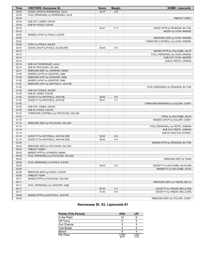| <b>Time</b> | <b>VISITORS: Kennesaw St.</b>             | <b>Score</b> | <b>Margin</b>  | <b>HOME: Lipscomb</b>                |
|-------------|-------------------------------------------|--------------|----------------|--------------------------------------|
| 03:52       | GOOD! LAYUP by RODRIGUEZ, JULIA           | 55-47        | H 8            |                                      |
| 03:34       | FOUL (PERSONAL) by RODRIGUEZ, JULIA       |              |                |                                      |
| 03:34       |                                           |              |                | TIMEOUT 30SEC                        |
| 03:34       | SUB OUT: JONES, STACIE                    |              |                |                                      |
| 03:34       | SUB IN: POOLE, ALEXIS                     |              |                |                                      |
| 03:15       |                                           | 58-47        | H 11           | GOOD! 3PTR by PEARSON, BLYTHE        |
| 03:15       |                                           |              |                | ASSIST by COOK, MADDIE               |
| 02:58       | MISSED LAYUP by POOLE, ALEXIS             |              |                |                                      |
| 02:56       |                                           |              |                | REBOUND (DEF) by COOK, MADDIE        |
| 02:52       |                                           |              |                | TURNOVER (LOSTBALL) by COOK, MADDIE  |
| 02:52       | STEAL by POOLE, ALEXIS                    |              |                |                                      |
| 02:47       | GOOD! LAYUP by POOLE, ALEXIS [FB]         | 58-49        | H9             |                                      |
| 02:15       |                                           |              |                | MISSED 3PTR by HOLCOMB, JALYN        |
| 02:14       |                                           |              |                | FOUL (PERSONAL) by COOK, MADDIE      |
| 02:14       |                                           |              |                | SUB OUT: COOK, MADDIE                |
| 02:14       |                                           |              |                | SUB IN: PEETE, JORDAN                |
| 02:14       | SUB OUT: RODRIGUEZ, JULIA                 |              |                |                                      |
| 02:14       | SUB IN: PICCOLINO, GILLIAN                |              |                |                                      |
| 02:11       | REBOUND (DEF) by JOHNSON, AMANI           |              |                |                                      |
| 01:59       | MISSED LAYUP by LEGISTER, GABI            |              |                |                                      |
| 01:56       | REBOUND (OFF) by LEGISTER, GABI           |              |                |                                      |
| 01:55       | MISSED LAYUP by LEGISTER, GABI            |              |                |                                      |
| 01:55       | REBOUND (OFF) by WHITFIELD, JAH'CHE       |              |                |                                      |
| 01:55       |                                           |              |                | FOUL (PERSONAL) by PEARSON, BLYTHE   |
| 01:55       | SUB OUT: POOLE, ALEXIS                    |              |                |                                      |
| 01:55       | SUB IN: JONES, STACIE                     |              |                |                                      |
| 01:55       | GOOD! FT by WHITFIELD, JAH'CHE            | 58-50        | H 8            |                                      |
| 01:55       | GOOD! FT by WHITFIELD, JAH'CHE            | 58-51        | H 7            |                                      |
| 01:50       |                                           |              |                | TURNOVER (BADPASS) by COLLIER, CASEY |
| 01:50       | SUB OUT: JONES, STACIE                    |              |                |                                      |
| 01:50       | SUB IN: POOLE, ALEXIS                     |              |                |                                      |
| 01:23       | TURNOVER (LOSTBALL) by PICCOLINO, GILLIAN |              |                |                                      |
| 01:23       |                                           |              |                | STEAL by HOLCOMB, JALYN              |
| 01:18       |                                           |              |                | MISSED LAYUP by COLLIER, CASEY       |
| 01:15       | REBOUND (DEF) by PICCOLINO, GILLIAN       |              |                |                                      |
| 01:14       |                                           |              |                | FOUL (PERSONAL) by PEETE, JORDAN     |
| 01:14       |                                           |              |                | SUB OUT: PEETE, JORDAN               |
| 01:14       |                                           |              |                | SUB IN: SHELTON, SYDNEY              |
| 01:14       | GOOD! FT by WHITFIELD, JAH'CHE [FB]       | 58-52        | H <sub>6</sub> |                                      |
| 01:14       | GOOD! FT by WHITFIELD, JAH'CHE [FB]       | 58-53        | H <sub>5</sub> |                                      |
| 00:44       |                                           |              |                | MISSED 3PTR by PEARSON, BLYTHE       |
| 00:43       | REBOUND (DEF) by PICCOLINO, GILLIAN       |              |                |                                      |
| 00:43       | TIMEOUT 30SEC                             |              |                |                                      |
| 00:33       | MISSED 3PTR by JOHNSON, AMANI             |              |                |                                      |
| 00:30       | FOUL (PERSONAL) by PICCOLINO, GILLIAN     |              |                |                                      |
| 00:29       |                                           |              |                | REBOUND (DEF) by TEAM                |
| 00:29       | FOUL (PERSONAL) by POOLE, ALEXIS          |              |                |                                      |
| 00:29       |                                           | 59-53        | H <sub>6</sub> | GOOD! FT by HOLCOMB, JALYN [FB]      |
| 00:29       |                                           |              |                | MISSED FT by HOLCOMB, JALYN          |
| 00:28       | REBOUND (DEF) by POOLE, ALEXIS            |              |                |                                      |
| 00:28       | <b>TIMEOUT TEAM</b>                       |              |                |                                      |
| 00:17       | MISSED 3PTR by PICCOLINO, GILLIAN         |              |                |                                      |
| 00:17       |                                           |              |                | REBOUND (DEF) by VINSON, BELLA       |
| 00:17       | FOUL (PERSONAL) by LEGISTER, GABI         |              |                |                                      |
| 00:17       |                                           | 60-53        | H 7            | GOOD! FT by VINSON, BELLA [FB]       |
| 00:17       |                                           | 61-53        | H <sub>8</sub> | GOOD! FT by VINSON, BELLA [FB]       |
| 00:08       | MISSED 3PTR by WHITFIELD, JAH'CHE         |              |                |                                      |
| 00:04       |                                           |              |                | REBOUND (DEF) by COLLIER, CASEY      |

# **Kennesaw St. 53, Lipscomb 61**

| <b>Points (This Period)</b> | <b>KSU</b>    | LIP           |
|-----------------------------|---------------|---------------|
| In the Paint                | 12            |               |
| Off Turns                   |               |               |
| 2nd Chance                  | າ             |               |
| <b>Fast Break</b>           |               |               |
| Bench                       |               |               |
| Per Poss                    | 0.889<br>8/18 | 1.000<br>7/16 |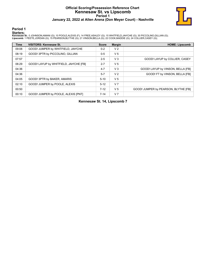# **Official Scoring/Possession Reference Chart Kennesaw St. vs Lipscomb Period 1 January 22, 2022 at Allen Arena (Don Meyer Court) - Nashville**



### **Period 1**

### **Starters:**

**Kennesaw St.**: 0 JOHNSON,AMANI (G); 10 POOLE,ALEXIS (F); 14 FREE,ASHLEY (G); 15 WHITFIELD,JAH'CHE (G); 30 PICCOLINO,GILLIAN (G);<br>**Lipscomb**: 1 PEETE,JORDAN (G); 15 PEARSON,BLYTHE (G); 21 VINSON,BELLA (G); 22 COOK,MADDIE (

| <b>Time</b> | <b>VISITORS: Kennesaw St.</b>          | <b>Score</b> | <b>Margin</b>  | <b>HOME: Lipscomb</b>                |
|-------------|----------------------------------------|--------------|----------------|--------------------------------------|
| 09:08       | GOOD! JUMPER by WHITFIELD, JAH'CHE     | $0 - 2$      | V <sub>2</sub> |                                      |
| 08:19       | GOOD! 3PTR by PICCOLINO, GILLIAN       | $0-5$        | V <sub>5</sub> |                                      |
| 07:57       |                                        | $2 - 5$      | $V_3$          | GOOD! LAYUP by COLLIER, CASEY        |
| 06:29       | GOOD! LAYUP by WHITFIELD, JAH'CHE [FB] | $2 - 7$      | V <sub>5</sub> |                                      |
| 04:36       |                                        | $4 - 7$      | $V_3$          | GOOD! LAYUP by VINSON, BELLA [FB]    |
| 04:36       |                                        | $5 - 7$      | V <sub>2</sub> | GOOD! FT by VINSON, BELLA [FB]       |
| 04:05       | GOOD! 3PTR by BAKER, AMARIS            | $5 - 10$     | V <sub>5</sub> |                                      |
| 02:10       | GOOD! JUMPER by POOLE, ALEXIS          | $5 - 12$     | V <sub>7</sub> |                                      |
| 00:50       |                                        | $7-12$       | V <sub>5</sub> | GOOD! JUMPER by PEARSON, BLYTHE [FB] |
| 00:10       | GOOD! JUMPER by POOLE, ALEXIS [PNT]    | $7 - 14$     | V <sub>7</sub> |                                      |

**Kennesaw St. 14, Lipscomb 7**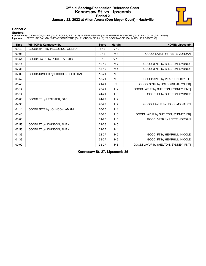# **Official Scoring/Possession Reference Chart Kennesaw St. vs Lipscomb Period 2 January 22, 2022 at Allen Arena (Don Meyer Court) - Nashville**



## **Period 2**

### **Starters:**

**Kennesaw St.**: 0 JOHNSON,AMANI (G); 10 POOLE,ALEXIS (F); 14 FREE,ASHLEY (G); 15 WHITFIELD,JAH'CHE (G); 30 PICCOLINO,GILLIAN (G);<br>**Lipscomb**: 1 PEETE,JORDAN (G); 15 PEARSON,BLYTHE (G); 21 VINSON,BELLA (G); 22 COOK,MADDIE (

| <b>Time</b> | <b>VISITORS: Kennesaw St.</b>      | <b>Score</b> | <b>Margin</b>  | <b>HOME: Lipscomb</b>                |
|-------------|------------------------------------|--------------|----------------|--------------------------------------|
| 09:43       | GOOD! 3PTR by PICCOLINO, GILLIAN   | $7 - 17$     | $V$ 10         |                                      |
| 09:08       |                                    | $9 - 17$     | $V_8$          | GOOD! LAYUP by PEETE, JORDAN         |
| 08:51       | GOOD! LAYUP by POOLE, ALEXIS       | $9 - 19$     | $V$ 10         |                                      |
| 08:14       |                                    | $12 - 19$    | V <sub>7</sub> | GOOD! 3PTR by SHELTON, SYDNEY        |
| 07:36       |                                    | $15 - 19$    | V <sub>4</sub> | GOOD! 3PTR by SHELTON, SYDNEY        |
| 07:09       | GOOD! JUMPER by PICCOLINO, GILLIAN | $15 - 21$    | $V_6$          |                                      |
| 06:52       |                                    | 18-21        | V <sub>3</sub> | GOOD! 3PTR by PEARSON, BLYTHE        |
| 05:48       |                                    | $21 - 21$    | T              | GOOD! 3PTR by HOLCOMB, JALYN [FB]    |
| 05:14       |                                    | $23 - 21$    | H <sub>2</sub> | GOOD! LAYUP by SHELTON, SYDNEY [PNT] |
| 05:14       |                                    | $24 - 21$    | $H_3$          | GOOD! FT by SHELTON, SYDNEY          |
| 05:00       | GOOD! FT by LEGISTER, GABI         | 24-22        | H <sub>2</sub> |                                      |
| 04:36       |                                    | 26-22        | H <sub>4</sub> | GOOD! LAYUP by HOLCOMB, JALYN        |
| 04:14       | GOOD! 3PTR by JOHNSON, AMANI       | 26-25        | H <sub>1</sub> |                                      |
| 03:40       |                                    | 28-25        | $H_3$          | GOOD! LAYUP by SHELTON, SYDNEY [FB]  |
| 03:03       |                                    | $31 - 25$    | $H_6$          | GOOD! 3PTR by PEETE, JORDAN          |
| 02:53       | GOOD! FT by JOHNSON, AMANI         | $31 - 26$    | H <sub>5</sub> |                                      |
| 02:53       | GOOD! FT by JOHNSON, AMANI         | $31 - 27$    | H <sub>4</sub> |                                      |
| 01:33       |                                    | 32-27        | H <sub>5</sub> | GOOD! FT by HEMPHILL, NICOLE         |
| 01:33       |                                    | $33 - 27$    | H <sub>6</sub> | GOOD! FT by HEMPHILL, NICOLE         |
| 00:02       |                                    | $35 - 27$    | H 8            | GOOD! LAYUP by SHELTON, SYDNEY [PNT] |

**Kennesaw St. 27, Lipscomb 35**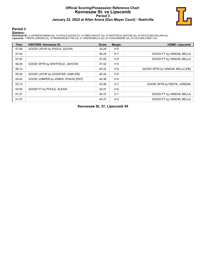# **Official Scoring/Possession Reference Chart Kennesaw St. vs Lipscomb Period 3 January 22, 2022 at Allen Arena (Don Meyer Court) - Nashville**



## **Period 3**

### **Starters:**

**Kennesaw St.**: 0 JOHNSON,AMANI (G); 10 POOLE,ALEXIS (F); 14 FREE,ASHLEY (G); 15 WHITFIELD,JAH'CHE (G); 30 PICCOLINO,GILLIAN (G);<br>**Lipscomb**: 1 PEETE,JORDAN (G); 15 PEARSON,BLYTHE (G); 21 VINSON,BELLA (G); 22 COOK,MADDIE (

| <b>Time</b> | <b>VISITORS: Kennesaw St.</b>       | <b>Score</b> | <b>Margin</b>  | <b>HOME: Lipscomb</b>            |
|-------------|-------------------------------------|--------------|----------------|----------------------------------|
| 07:59       | GOOD! LAYUP by POOLE, ALEXIS        | $35 - 29$    | H 6            |                                  |
| 07:42       |                                     | 36-29        | H <sub>7</sub> | GOOD! FT by VINSON, BELLA        |
| 07:42       |                                     | 37-29        | H 8            | GOOD! FT by VINSON, BELLA        |
| 06:29       | GOOD! 3PTR by WHITFIELD, JAH'CHE    | 37-32        | H <sub>5</sub> |                                  |
| 06:13       |                                     | 40-32        | H 8            | GOOD! 3PTR by VINSON, BELLA [FB] |
| 05:29       | GOOD! LAYUP by LEGISTER, GABI [FB]  | 40-34        | H <sub>6</sub> |                                  |
| 04:42       | GOOD! JUMPER by JONES, STACIE [PNT] | 40-36        | H4             |                                  |
| 03:13       |                                     | 43-36        | H <sub>7</sub> | GOOD! 3PTR by PEETE, JORDAN      |
| 02:55       | GOOD! FT by POOLE, ALEXIS           | 43-37        | H 6            |                                  |
| 01:37       |                                     | 44-37        | H <sub>7</sub> | GOOD! FT by VINSON, BELLA        |
| 01:37       |                                     | 45-37        | H 8            | GOOD! FT by VINSON. BELLA        |

**Kennesaw St. 37, Lipscomb 45**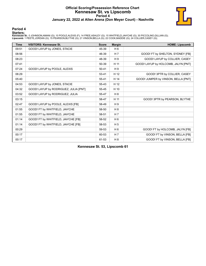# **Official Scoring/Possession Reference Chart Kennesaw St. vs Lipscomb Period 4 January 22, 2022 at Allen Arena (Don Meyer Court) - Nashville**



### **Period 4**

### **Starters:**

**Kennesaw St.**: 0 JOHNSON,AMANI (G); 10 POOLE,ALEXIS (F); 14 FREE,ASHLEY (G); 15 WHITFIELD,JAH'CHE (G); 30 PICCOLINO,GILLIAN (G);<br>**Lipscomb**: 1 PEETE,JORDAN (G); 15 PEARSON,BLYTHE (G); 21 VINSON,BELLA (G); 22 COOK,MADDIE (

| <b>Time</b> | <b>VISITORS: Kennesaw St.</b>         | <b>Score</b> | <b>Margin</b>  | <b>HOME: Lipscomb</b>               |
|-------------|---------------------------------------|--------------|----------------|-------------------------------------|
| 09:51       | GOOD! LAYUP by JONES, STACIE          | 45-39        | H 6            |                                     |
| 08:56       |                                       | 46-39        | H 7            | GOOD! FT by SHELTON, SYDNEY [FB]    |
| 08:23       |                                       | 48-39        | H 9            | GOOD! LAYUP by COLLIER, CASEY       |
| 07:41       |                                       | 50-39        | H 11           | GOOD! LAYUP by HOLCOMB, JALYN [PNT] |
| 07:24       | GOOD! LAYUP by POOLE, ALEXIS          | $50 - 41$    | H <sub>9</sub> |                                     |
| 06:29       |                                       | 53-41        | H 12           | GOOD! 3PTR by COLLIER, CASEY        |
| 05:40       |                                       | 55-41        | H 14           | GOOD! JUMPER by VINSON, BELLA [PNT] |
| 04:53       | GOOD! LAYUP by JONES, STACIE          | 55-43        | H 12           |                                     |
| 04:32       | GOOD! LAYUP by RODRIGUEZ, JULIA [PNT] | 55-45        | H 10           |                                     |
| 03:52       | GOOD! LAYUP by RODRIGUEZ, JULIA       | 55-47        | H 8            |                                     |
| 03:15       |                                       | 58-47        | H 11           | GOOD! 3PTR by PEARSON, BLYTHE       |
| 02:47       | GOOD! LAYUP by POOLE, ALEXIS [FB]     | 58-49        | H <sub>9</sub> |                                     |
| 01:55       | GOOD! FT by WHITFIELD, JAH'CHE        | 58-50        | H 8            |                                     |
| 01:55       | GOOD! FT by WHITFIELD, JAH'CHE        | 58-51        | H <sub>7</sub> |                                     |
| 01:14       | GOOD! FT by WHITFIELD, JAH'CHE [FB]   | 58-52        | H <sub>6</sub> |                                     |
| 01:14       | GOOD! FT by WHITFIELD, JAH'CHE [FB]   | 58-53        | H <sub>5</sub> |                                     |
| 00:29       |                                       | 59-53        | H 6            | GOOD! FT by HOLCOMB, JALYN [FB]     |
| 00:17       |                                       | 60-53        | H 7            | GOOD! FT by VINSON, BELLA [FB]      |
| 00:17       |                                       | 61-53        | H <sub>8</sub> | GOOD! FT by VINSON, BELLA [FB]      |

**Kennesaw St. 53, Lipscomb 61**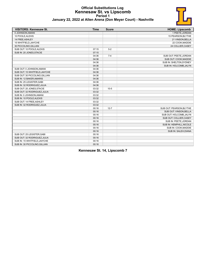

| January 22, 2022 at Allen Arena (Don Meyer Court) - Nashville |  |  |
|---------------------------------------------------------------|--|--|
|---------------------------------------------------------------|--|--|

| <b>VISITORS: Kennesaw St.</b>  | <b>Time</b> | <b>Score</b> | <b>HOME: Lipscomb</b>    |
|--------------------------------|-------------|--------------|--------------------------|
| 0 JOHNSON, AMANI               |             |              | 1 PEETE, JORDAN          |
| 10 POOLE, ALEXIS               |             |              | 15 PEARSON, BLYTHE       |
| 14 FREE, ASHLEY                |             |              | 21 VINSON, BELLA         |
| 15 WHITFIELD, JAH'CHE          |             |              | 22 COOK, MADDIE          |
| 30 PICCOLINO, GILLIAN          |             |              | 24 COLLIER, CASEY        |
| SUB OUT: 10 POOLE, ALEXIS      | 07:15       | $5-2$        |                          |
| SUB IN: 20 JONES, STACIE       | 07:15       |              |                          |
|                                | 04:36       | $7 - 4$      | SUB OUT: PEETE, JORDAN   |
|                                | 04:36       |              | SUB OUT: COOK, MADDIE    |
|                                | 04:36       |              | SUB IN: SHELTON, SYDNEY  |
|                                | 04:36       |              | SUB IN: HOLCOMB, JALYN   |
| SUB OUT: 0 JOHNSON, AMANI      | 04:36       |              |                          |
| SUB OUT: 15 WHITFIELD, JAH'CHE | 04:36       |              |                          |
| SUB OUT: 30 PICCOLINO, GILLIAN | 04:36       |              |                          |
| SUB IN: 12 BAKER, AMARIS       | 04:36       |              |                          |
| SUB IN: 25 LEGISTER, GABI      | 04:36       |              |                          |
| SUB IN: 32 RODRIGUEZ, JULIA    | 04:36       |              |                          |
| SUB OUT: 20 JONES, STACIE      | 03:32       | $10-5$       |                          |
| SUB OUT: 32 RODRIGUEZ, JULIA   | 03:32       |              |                          |
| SUB IN: 0 JOHNSON, AMANI       | 03:32       |              |                          |
| SUB IN: 10 POOLE, ALEXIS       | 03:32       |              |                          |
| SUB OUT: 14 FREE, ASHLEY       | 03:32       |              |                          |
| SUB IN: 32 RODRIGUEZ, JULIA    | 03:32       |              |                          |
|                                | 00:16       | $12 - 7$     | SUB OUT: PEARSON, BLYTHE |
|                                | 00:16       |              | SUB OUT: VINSON, BELLA   |
|                                | 00:16       |              | SUB OUT: HOLCOMB, JALYN  |
|                                | 00:16       |              | SUB OUT: COLLIER, CASEY  |
|                                | 00:16       |              | SUB IN: PEETE, JORDAN    |
|                                | 00:16       |              | SUB IN: HEMPHILL, NICOLE |
|                                | 00:16       |              | SUB IN: COOK, MADDIE     |
|                                | 00:16       |              | SUB IN: SALEH, DIANA     |
| SUB OUT: 25 LEGISTER, GABI     | 00:16       |              |                          |
| SUB OUT: 32 RODRIGUEZ, JULIA   | 00:16       |              |                          |
| SUB IN: 15 WHITFIELD, JAH'CHE  | 00:16       |              |                          |
| SUB IN: 30 PICCOLINO, GILLIAN  | 00:16       |              |                          |

**Kennesaw St. 14, Lipscomb 7**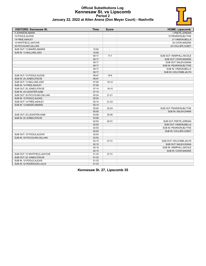

|  | January 22, 2022 at Allen Arena (Don Meyer Court) - Nashville |  |  |  |
|--|---------------------------------------------------------------|--|--|--|
|--|---------------------------------------------------------------|--|--|--|

| <b>VISITORS: Kennesaw St.</b>  | <b>Time</b> | <b>Score</b>             | <b>HOME: Lipscomb</b>     |
|--------------------------------|-------------|--------------------------|---------------------------|
| 0 JOHNSON, AMANI               |             |                          | 1 PEETE, JORDAN           |
| 10 POOLE, ALEXIS               |             |                          | 15 PEARSON, BLYTHE        |
| 14 FREE, ASHLEY                |             |                          | 21 VINSON, BELLA          |
| 15 WHITFIELD, JAH'CHE          |             |                          | 22 COOK, MADDIE           |
| 30 PICCOLINO, GILLIAN          |             |                          | 24 COLLIER, CASEY         |
| SUB OUT: 12 BAKER, AMARIS      | 10:00       | $\overline{\phantom{a}}$ |                           |
| SUB IN: 13 MULLINS, JODI       | 10:00       |                          |                           |
|                                | 09:17       | $17 - 7$                 | SUB OUT: HEMPHILL, NICOLE |
|                                | 09:17       |                          | SUB OUT: COOK, MADDIE     |
|                                | 09:17       |                          | SUB OUT: SALEH, DIANA     |
|                                | 09:17       |                          | SUB IN: PEARSON, BLYTHE   |
|                                | 09:17       |                          | SUB IN: VINSON, BELLA     |
|                                | 09:17       |                          | SUB IN: HOLCOMB, JALYN    |
| SUB OUT: 10 POOLE, ALEXIS      | 08:47       | $19-9$                   |                           |
| SUB IN: 20 JONES, STACIE       | 08:47       |                          |                           |
| SUB OUT: 13 MULLINS, JODI      | 07:55       | $19-12$                  |                           |
| SUB IN: 14 FREE, ASHLEY        | 07:55       |                          |                           |
| SUB OUT: 20 JONES, STACIE      | 07:14       | 19-15                    |                           |
| SUB IN: 25 LEGISTER, GABI      | 07:14       |                          |                           |
| SUB OUT: 30 PICCOLINO, GILLIAN | 05:24       | $21 - 21$                |                           |
| SUB IN: 10 POOLE, ALEXIS       | 05:24       |                          |                           |
| SUB OUT: 14 FREE, ASHLEY       | 05:14       | $21 - 23$                |                           |
| SUB IN: 12 BAKER, AMARIS       | 05:14       |                          |                           |
|                                | 05:00       | $22 - 24$                | SUB OUT: PEARSON, BLYTHE  |
|                                | 05:00       |                          | SUB IN: SALEH, DIANA      |
| SUB OUT: 25 LEGISTER, GABI     | 03:58       | 25-26                    |                           |
| SUB IN: 20 JONES, STACIE       | 03:58       |                          |                           |
|                                | 02:53       | 25-31                    | SUB OUT: PEETE, JORDAN    |
|                                | 02:53       |                          | SUB OUT: VINSON, BELLA    |
|                                | 02:53       |                          | SUB IN: PEARSON, BLYTHE   |
|                                | 02:53       |                          | SUB IN: COLLIER, CASEY    |
| SUB OUT: 10 POOLE, ALEXIS      | 02:53       |                          |                           |
| SUB IN: 30 PICCOLINO, GILLIAN  | 02:53       |                          |                           |
|                                | 02:15       | $27 - 31$                | SUB OUT: HOLCOMB, JALYN   |
|                                | 02:15       |                          | SUB OUT: SALEH, DIANA     |
|                                | 02:15       |                          | SUB IN: HEMPHILL, NICOLE  |
|                                | 02:15       |                          | SUB IN: COOK, MADDIE      |
| SUB OUT: 15 WHITFIELD, JAH'CHE | 01:33       | 27-31                    |                           |
| SUB OUT: 20 JONES, STACIE      | 01:33       |                          |                           |
| SUB IN: 10 POOLE, ALEXIS       | 01:33       |                          |                           |
| SUB IN: 32 RODRIGUEZ, JULIA    | 01:33       |                          |                           |

**Kennesaw St. 27, Lipscomb 35**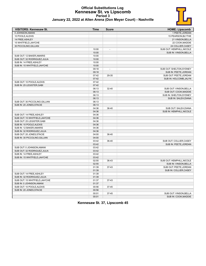

| January 22, 2022 at Allen Arena (Don Meyer Court) - Nashville |  |
|---------------------------------------------------------------|--|
|---------------------------------------------------------------|--|

| 0 JOHNSON, AMANI<br>1 PEETE, JORDAN<br>10 POOLE, ALEXIS<br>15 PEARSON, BLYTHE<br>14 FREE, ASHLEY<br>21 VINSON, BELLA<br>15 WHITFIELD, JAH'CHE<br>22 COOK, MADDIE<br>30 PICCOLINO, GILLIAN<br>24 COLLIER, CASEY<br>10:00<br>SUB OUT: HEMPHILL, NICOLE<br>$\overline{\phantom{a}}$<br>10:00<br>SUB IN: VINSON, BELLA<br>SUB OUT: 12 BAKER, AMARIS<br>10:00<br>SUB OUT: 32 RODRIGUEZ, JULIA<br>10:00<br>SUB IN: 14 FREE, ASHLEY<br>10:00<br>SUB IN: 15 WHITFIELD, JAH'CHE<br>10:00<br>09:18<br>SUB OUT: SHELTON, SYDNEY<br>$\overline{a}$<br>09:18<br>SUB IN: PEETE, JORDAN<br>07:42<br>SUB OUT: PEETE, JORDAN<br>29-35<br>07:42<br>SUB IN: HOLCOMB, JALYN<br>SUB OUT: 10 POOLE, ALEXIS<br>07:42<br>SUB IN: 25 LEGISTER.GABI<br>07:42<br>06:13<br>$32 - 40$<br>SUB OUT: VINSON BELLA<br>06:13<br>SUB OUT: COOK, MADDIE<br>06:13<br>SUB IN: SHELTON, SYDNEY<br>06:13<br>SUB IN: SALEH, DIANA<br>SUB OUT: 30 PICCOLINO.GILLIAN<br>06:13<br>SUB IN: 20 JONES, STACIE<br>06:13<br>04:36<br>36-40<br>SUB OUT: SALEH, DIANA<br>04:36<br>SUB IN: HEMPHILL, NICOLE<br>SUB OUT: 14 FREE, ASHLEY<br>04:36<br>04:36<br>SUB OUT: 15 WHITFIELD, JAH'CHE<br>04:36<br>SUB OUT: 25 LEGISTER, GABI<br>SUB IN: 10 POOLE, ALEXIS<br>04:36<br>SUB IN: 12 BAKER, AMARIS<br>04:36<br>SUB IN: 32 RODRIGUEZ, JULIA<br>04:36<br>SUB OUT: 20 JONES, STACIE<br>04:00<br>36-40<br>SUB IN: 30 PICCOLINO, GILLIAN<br>04:00<br>03:42<br>36-40<br>SUB OUT: COLLIER, CASEY<br>03:42<br>SUB IN: PEETE, JORDAN<br>SUB OUT: 0 JOHNSON, AMANI<br>03:42<br>03:42<br>SUB OUT: 32 RODRIGUEZ, JULIA<br>SUB IN: 14 FREE, ASHLEY<br>03:42<br>SUB IN: 15 WHITFIELD, JAH'CHE<br>03:42<br>02:55<br>36-43<br>SUB OUT: HEMPHILL, NICOLE<br>02:55<br>SUB IN: VINSON, BELLA<br>01:39<br>SUB OUT: PEETE, JORDAN<br>37-43<br>01:39<br>SUB IN: COLLIER, CASEY<br>SUB OUT: 14 FREE, ASHLEY<br>01:39<br>SUB IN: 32 RODRIGUEZ, JULIA<br>01:39<br>SUB OUT: 15 WHITFIELD, JAH'CHE<br>01:37<br>$37-43$<br>SUB IN: 0 JOHNSON, AMANI<br>01:37<br>SUB OUT: 10 POOLE, ALEXIS<br>00:56<br>37-45 | <b>VISITORS: Kennesaw St.</b> | <b>Time</b> | <b>Score</b> | <b>HOME: Lipscomb</b> |
|------------------------------------------------------------------------------------------------------------------------------------------------------------------------------------------------------------------------------------------------------------------------------------------------------------------------------------------------------------------------------------------------------------------------------------------------------------------------------------------------------------------------------------------------------------------------------------------------------------------------------------------------------------------------------------------------------------------------------------------------------------------------------------------------------------------------------------------------------------------------------------------------------------------------------------------------------------------------------------------------------------------------------------------------------------------------------------------------------------------------------------------------------------------------------------------------------------------------------------------------------------------------------------------------------------------------------------------------------------------------------------------------------------------------------------------------------------------------------------------------------------------------------------------------------------------------------------------------------------------------------------------------------------------------------------------------------------------------------------------------------------------------------------------------------------------------------------------------------------------------------------------------------------------------------------------------------------------------------------------------------------------------------|-------------------------------|-------------|--------------|-----------------------|
|                                                                                                                                                                                                                                                                                                                                                                                                                                                                                                                                                                                                                                                                                                                                                                                                                                                                                                                                                                                                                                                                                                                                                                                                                                                                                                                                                                                                                                                                                                                                                                                                                                                                                                                                                                                                                                                                                                                                                                                                                              |                               |             |              |                       |
|                                                                                                                                                                                                                                                                                                                                                                                                                                                                                                                                                                                                                                                                                                                                                                                                                                                                                                                                                                                                                                                                                                                                                                                                                                                                                                                                                                                                                                                                                                                                                                                                                                                                                                                                                                                                                                                                                                                                                                                                                              |                               |             |              |                       |
|                                                                                                                                                                                                                                                                                                                                                                                                                                                                                                                                                                                                                                                                                                                                                                                                                                                                                                                                                                                                                                                                                                                                                                                                                                                                                                                                                                                                                                                                                                                                                                                                                                                                                                                                                                                                                                                                                                                                                                                                                              |                               |             |              |                       |
|                                                                                                                                                                                                                                                                                                                                                                                                                                                                                                                                                                                                                                                                                                                                                                                                                                                                                                                                                                                                                                                                                                                                                                                                                                                                                                                                                                                                                                                                                                                                                                                                                                                                                                                                                                                                                                                                                                                                                                                                                              |                               |             |              |                       |
|                                                                                                                                                                                                                                                                                                                                                                                                                                                                                                                                                                                                                                                                                                                                                                                                                                                                                                                                                                                                                                                                                                                                                                                                                                                                                                                                                                                                                                                                                                                                                                                                                                                                                                                                                                                                                                                                                                                                                                                                                              |                               |             |              |                       |
|                                                                                                                                                                                                                                                                                                                                                                                                                                                                                                                                                                                                                                                                                                                                                                                                                                                                                                                                                                                                                                                                                                                                                                                                                                                                                                                                                                                                                                                                                                                                                                                                                                                                                                                                                                                                                                                                                                                                                                                                                              |                               |             |              |                       |
|                                                                                                                                                                                                                                                                                                                                                                                                                                                                                                                                                                                                                                                                                                                                                                                                                                                                                                                                                                                                                                                                                                                                                                                                                                                                                                                                                                                                                                                                                                                                                                                                                                                                                                                                                                                                                                                                                                                                                                                                                              |                               |             |              |                       |
|                                                                                                                                                                                                                                                                                                                                                                                                                                                                                                                                                                                                                                                                                                                                                                                                                                                                                                                                                                                                                                                                                                                                                                                                                                                                                                                                                                                                                                                                                                                                                                                                                                                                                                                                                                                                                                                                                                                                                                                                                              |                               |             |              |                       |
|                                                                                                                                                                                                                                                                                                                                                                                                                                                                                                                                                                                                                                                                                                                                                                                                                                                                                                                                                                                                                                                                                                                                                                                                                                                                                                                                                                                                                                                                                                                                                                                                                                                                                                                                                                                                                                                                                                                                                                                                                              |                               |             |              |                       |
|                                                                                                                                                                                                                                                                                                                                                                                                                                                                                                                                                                                                                                                                                                                                                                                                                                                                                                                                                                                                                                                                                                                                                                                                                                                                                                                                                                                                                                                                                                                                                                                                                                                                                                                                                                                                                                                                                                                                                                                                                              |                               |             |              |                       |
|                                                                                                                                                                                                                                                                                                                                                                                                                                                                                                                                                                                                                                                                                                                                                                                                                                                                                                                                                                                                                                                                                                                                                                                                                                                                                                                                                                                                                                                                                                                                                                                                                                                                                                                                                                                                                                                                                                                                                                                                                              |                               |             |              |                       |
|                                                                                                                                                                                                                                                                                                                                                                                                                                                                                                                                                                                                                                                                                                                                                                                                                                                                                                                                                                                                                                                                                                                                                                                                                                                                                                                                                                                                                                                                                                                                                                                                                                                                                                                                                                                                                                                                                                                                                                                                                              |                               |             |              |                       |
|                                                                                                                                                                                                                                                                                                                                                                                                                                                                                                                                                                                                                                                                                                                                                                                                                                                                                                                                                                                                                                                                                                                                                                                                                                                                                                                                                                                                                                                                                                                                                                                                                                                                                                                                                                                                                                                                                                                                                                                                                              |                               |             |              |                       |
|                                                                                                                                                                                                                                                                                                                                                                                                                                                                                                                                                                                                                                                                                                                                                                                                                                                                                                                                                                                                                                                                                                                                                                                                                                                                                                                                                                                                                                                                                                                                                                                                                                                                                                                                                                                                                                                                                                                                                                                                                              |                               |             |              |                       |
|                                                                                                                                                                                                                                                                                                                                                                                                                                                                                                                                                                                                                                                                                                                                                                                                                                                                                                                                                                                                                                                                                                                                                                                                                                                                                                                                                                                                                                                                                                                                                                                                                                                                                                                                                                                                                                                                                                                                                                                                                              |                               |             |              |                       |
|                                                                                                                                                                                                                                                                                                                                                                                                                                                                                                                                                                                                                                                                                                                                                                                                                                                                                                                                                                                                                                                                                                                                                                                                                                                                                                                                                                                                                                                                                                                                                                                                                                                                                                                                                                                                                                                                                                                                                                                                                              |                               |             |              |                       |
|                                                                                                                                                                                                                                                                                                                                                                                                                                                                                                                                                                                                                                                                                                                                                                                                                                                                                                                                                                                                                                                                                                                                                                                                                                                                                                                                                                                                                                                                                                                                                                                                                                                                                                                                                                                                                                                                                                                                                                                                                              |                               |             |              |                       |
|                                                                                                                                                                                                                                                                                                                                                                                                                                                                                                                                                                                                                                                                                                                                                                                                                                                                                                                                                                                                                                                                                                                                                                                                                                                                                                                                                                                                                                                                                                                                                                                                                                                                                                                                                                                                                                                                                                                                                                                                                              |                               |             |              |                       |
|                                                                                                                                                                                                                                                                                                                                                                                                                                                                                                                                                                                                                                                                                                                                                                                                                                                                                                                                                                                                                                                                                                                                                                                                                                                                                                                                                                                                                                                                                                                                                                                                                                                                                                                                                                                                                                                                                                                                                                                                                              |                               |             |              |                       |
|                                                                                                                                                                                                                                                                                                                                                                                                                                                                                                                                                                                                                                                                                                                                                                                                                                                                                                                                                                                                                                                                                                                                                                                                                                                                                                                                                                                                                                                                                                                                                                                                                                                                                                                                                                                                                                                                                                                                                                                                                              |                               |             |              |                       |
|                                                                                                                                                                                                                                                                                                                                                                                                                                                                                                                                                                                                                                                                                                                                                                                                                                                                                                                                                                                                                                                                                                                                                                                                                                                                                                                                                                                                                                                                                                                                                                                                                                                                                                                                                                                                                                                                                                                                                                                                                              |                               |             |              |                       |
|                                                                                                                                                                                                                                                                                                                                                                                                                                                                                                                                                                                                                                                                                                                                                                                                                                                                                                                                                                                                                                                                                                                                                                                                                                                                                                                                                                                                                                                                                                                                                                                                                                                                                                                                                                                                                                                                                                                                                                                                                              |                               |             |              |                       |
|                                                                                                                                                                                                                                                                                                                                                                                                                                                                                                                                                                                                                                                                                                                                                                                                                                                                                                                                                                                                                                                                                                                                                                                                                                                                                                                                                                                                                                                                                                                                                                                                                                                                                                                                                                                                                                                                                                                                                                                                                              |                               |             |              |                       |
|                                                                                                                                                                                                                                                                                                                                                                                                                                                                                                                                                                                                                                                                                                                                                                                                                                                                                                                                                                                                                                                                                                                                                                                                                                                                                                                                                                                                                                                                                                                                                                                                                                                                                                                                                                                                                                                                                                                                                                                                                              |                               |             |              |                       |
|                                                                                                                                                                                                                                                                                                                                                                                                                                                                                                                                                                                                                                                                                                                                                                                                                                                                                                                                                                                                                                                                                                                                                                                                                                                                                                                                                                                                                                                                                                                                                                                                                                                                                                                                                                                                                                                                                                                                                                                                                              |                               |             |              |                       |
|                                                                                                                                                                                                                                                                                                                                                                                                                                                                                                                                                                                                                                                                                                                                                                                                                                                                                                                                                                                                                                                                                                                                                                                                                                                                                                                                                                                                                                                                                                                                                                                                                                                                                                                                                                                                                                                                                                                                                                                                                              |                               |             |              |                       |
|                                                                                                                                                                                                                                                                                                                                                                                                                                                                                                                                                                                                                                                                                                                                                                                                                                                                                                                                                                                                                                                                                                                                                                                                                                                                                                                                                                                                                                                                                                                                                                                                                                                                                                                                                                                                                                                                                                                                                                                                                              |                               |             |              |                       |
|                                                                                                                                                                                                                                                                                                                                                                                                                                                                                                                                                                                                                                                                                                                                                                                                                                                                                                                                                                                                                                                                                                                                                                                                                                                                                                                                                                                                                                                                                                                                                                                                                                                                                                                                                                                                                                                                                                                                                                                                                              |                               |             |              |                       |
|                                                                                                                                                                                                                                                                                                                                                                                                                                                                                                                                                                                                                                                                                                                                                                                                                                                                                                                                                                                                                                                                                                                                                                                                                                                                                                                                                                                                                                                                                                                                                                                                                                                                                                                                                                                                                                                                                                                                                                                                                              |                               |             |              |                       |
|                                                                                                                                                                                                                                                                                                                                                                                                                                                                                                                                                                                                                                                                                                                                                                                                                                                                                                                                                                                                                                                                                                                                                                                                                                                                                                                                                                                                                                                                                                                                                                                                                                                                                                                                                                                                                                                                                                                                                                                                                              |                               |             |              |                       |
|                                                                                                                                                                                                                                                                                                                                                                                                                                                                                                                                                                                                                                                                                                                                                                                                                                                                                                                                                                                                                                                                                                                                                                                                                                                                                                                                                                                                                                                                                                                                                                                                                                                                                                                                                                                                                                                                                                                                                                                                                              |                               |             |              |                       |
|                                                                                                                                                                                                                                                                                                                                                                                                                                                                                                                                                                                                                                                                                                                                                                                                                                                                                                                                                                                                                                                                                                                                                                                                                                                                                                                                                                                                                                                                                                                                                                                                                                                                                                                                                                                                                                                                                                                                                                                                                              |                               |             |              |                       |
|                                                                                                                                                                                                                                                                                                                                                                                                                                                                                                                                                                                                                                                                                                                                                                                                                                                                                                                                                                                                                                                                                                                                                                                                                                                                                                                                                                                                                                                                                                                                                                                                                                                                                                                                                                                                                                                                                                                                                                                                                              |                               |             |              |                       |
|                                                                                                                                                                                                                                                                                                                                                                                                                                                                                                                                                                                                                                                                                                                                                                                                                                                                                                                                                                                                                                                                                                                                                                                                                                                                                                                                                                                                                                                                                                                                                                                                                                                                                                                                                                                                                                                                                                                                                                                                                              |                               |             |              |                       |
|                                                                                                                                                                                                                                                                                                                                                                                                                                                                                                                                                                                                                                                                                                                                                                                                                                                                                                                                                                                                                                                                                                                                                                                                                                                                                                                                                                                                                                                                                                                                                                                                                                                                                                                                                                                                                                                                                                                                                                                                                              |                               |             |              |                       |
|                                                                                                                                                                                                                                                                                                                                                                                                                                                                                                                                                                                                                                                                                                                                                                                                                                                                                                                                                                                                                                                                                                                                                                                                                                                                                                                                                                                                                                                                                                                                                                                                                                                                                                                                                                                                                                                                                                                                                                                                                              |                               |             |              |                       |
|                                                                                                                                                                                                                                                                                                                                                                                                                                                                                                                                                                                                                                                                                                                                                                                                                                                                                                                                                                                                                                                                                                                                                                                                                                                                                                                                                                                                                                                                                                                                                                                                                                                                                                                                                                                                                                                                                                                                                                                                                              |                               |             |              |                       |
|                                                                                                                                                                                                                                                                                                                                                                                                                                                                                                                                                                                                                                                                                                                                                                                                                                                                                                                                                                                                                                                                                                                                                                                                                                                                                                                                                                                                                                                                                                                                                                                                                                                                                                                                                                                                                                                                                                                                                                                                                              |                               |             |              |                       |
|                                                                                                                                                                                                                                                                                                                                                                                                                                                                                                                                                                                                                                                                                                                                                                                                                                                                                                                                                                                                                                                                                                                                                                                                                                                                                                                                                                                                                                                                                                                                                                                                                                                                                                                                                                                                                                                                                                                                                                                                                              |                               |             |              |                       |
|                                                                                                                                                                                                                                                                                                                                                                                                                                                                                                                                                                                                                                                                                                                                                                                                                                                                                                                                                                                                                                                                                                                                                                                                                                                                                                                                                                                                                                                                                                                                                                                                                                                                                                                                                                                                                                                                                                                                                                                                                              |                               |             |              |                       |
|                                                                                                                                                                                                                                                                                                                                                                                                                                                                                                                                                                                                                                                                                                                                                                                                                                                                                                                                                                                                                                                                                                                                                                                                                                                                                                                                                                                                                                                                                                                                                                                                                                                                                                                                                                                                                                                                                                                                                                                                                              |                               |             |              |                       |
|                                                                                                                                                                                                                                                                                                                                                                                                                                                                                                                                                                                                                                                                                                                                                                                                                                                                                                                                                                                                                                                                                                                                                                                                                                                                                                                                                                                                                                                                                                                                                                                                                                                                                                                                                                                                                                                                                                                                                                                                                              |                               |             |              |                       |
|                                                                                                                                                                                                                                                                                                                                                                                                                                                                                                                                                                                                                                                                                                                                                                                                                                                                                                                                                                                                                                                                                                                                                                                                                                                                                                                                                                                                                                                                                                                                                                                                                                                                                                                                                                                                                                                                                                                                                                                                                              |                               |             |              |                       |
|                                                                                                                                                                                                                                                                                                                                                                                                                                                                                                                                                                                                                                                                                                                                                                                                                                                                                                                                                                                                                                                                                                                                                                                                                                                                                                                                                                                                                                                                                                                                                                                                                                                                                                                                                                                                                                                                                                                                                                                                                              |                               |             |              |                       |
|                                                                                                                                                                                                                                                                                                                                                                                                                                                                                                                                                                                                                                                                                                                                                                                                                                                                                                                                                                                                                                                                                                                                                                                                                                                                                                                                                                                                                                                                                                                                                                                                                                                                                                                                                                                                                                                                                                                                                                                                                              |                               |             |              |                       |
|                                                                                                                                                                                                                                                                                                                                                                                                                                                                                                                                                                                                                                                                                                                                                                                                                                                                                                                                                                                                                                                                                                                                                                                                                                                                                                                                                                                                                                                                                                                                                                                                                                                                                                                                                                                                                                                                                                                                                                                                                              |                               |             |              |                       |
|                                                                                                                                                                                                                                                                                                                                                                                                                                                                                                                                                                                                                                                                                                                                                                                                                                                                                                                                                                                                                                                                                                                                                                                                                                                                                                                                                                                                                                                                                                                                                                                                                                                                                                                                                                                                                                                                                                                                                                                                                              |                               |             |              |                       |
|                                                                                                                                                                                                                                                                                                                                                                                                                                                                                                                                                                                                                                                                                                                                                                                                                                                                                                                                                                                                                                                                                                                                                                                                                                                                                                                                                                                                                                                                                                                                                                                                                                                                                                                                                                                                                                                                                                                                                                                                                              |                               |             |              |                       |
|                                                                                                                                                                                                                                                                                                                                                                                                                                                                                                                                                                                                                                                                                                                                                                                                                                                                                                                                                                                                                                                                                                                                                                                                                                                                                                                                                                                                                                                                                                                                                                                                                                                                                                                                                                                                                                                                                                                                                                                                                              | SUB IN: 20 JONES, STACIE      | 00:56       |              |                       |
| 00:01<br>37-45<br>SUB OUT: VINSON.BELLA                                                                                                                                                                                                                                                                                                                                                                                                                                                                                                                                                                                                                                                                                                                                                                                                                                                                                                                                                                                                                                                                                                                                                                                                                                                                                                                                                                                                                                                                                                                                                                                                                                                                                                                                                                                                                                                                                                                                                                                      |                               |             |              |                       |
| 00:01<br>SUB IN: COOK, MADDIE                                                                                                                                                                                                                                                                                                                                                                                                                                                                                                                                                                                                                                                                                                                                                                                                                                                                                                                                                                                                                                                                                                                                                                                                                                                                                                                                                                                                                                                                                                                                                                                                                                                                                                                                                                                                                                                                                                                                                                                                |                               |             |              |                       |

**Kennesaw St. 37, Lipscomb 45**